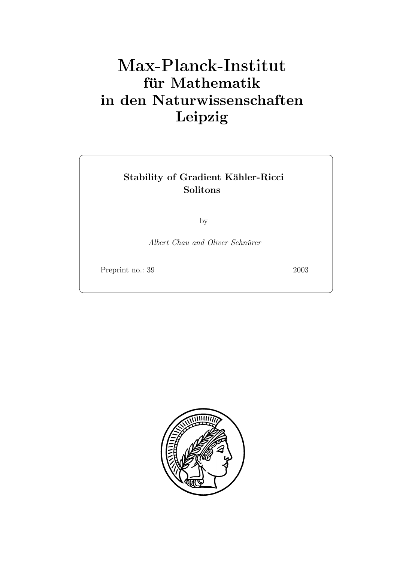# **für Mathematik in den Naturwissenschaften Leipzig**

# Stability of Gradient Kähler-Ricci **Solitons**

by

*Albert Chau and Oliver Schnürer* 

Preprint no.: 39 2003

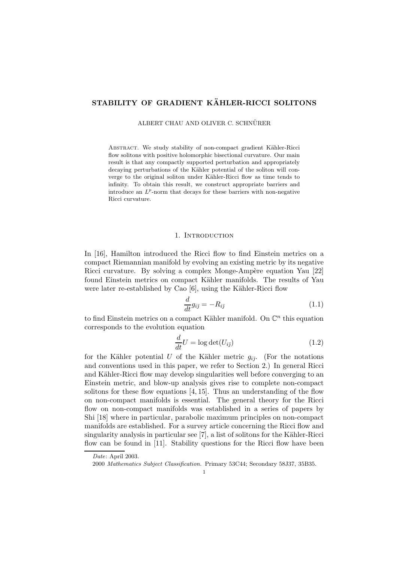## **STABILITY OF GRADIENT KÄHLER-RICCI SOLITONS**

ALBERT CHAU AND OLIVER C. SCHNÜRER

ABSTRACT. We study stability of non-compact gradient Kähler-Ricci flow solitons with positive holomorphic bisectional curvature. Our main result is that any compactly supported perturbation and appropriately decaying perturbations of the Kähler potential of the soliton will converge to the original soliton under Kähler-Ricci flow as time tends to infinity. To obtain this result, we construct appropriate barriers and introduce an  $L^p$ -norm that decays for these barriers with non-negative Ricci curvature.

#### 1. INTRODUCTION

In [16], Hamilton introduced the Ricci flow to find Einstein metrics on a compact Riemannian manifold by evolving an existing metric by its negative Ricci curvature. By solving a complex Monge-Ampère equation Yau [22] found Einstein metrics on compact Kähler manifolds. The results of Yau were later re-established by Cao  $[6]$ , using the Kähler-Ricci flow

$$
\frac{d}{dt}g_{i\bar{j}} = -R_{i\bar{j}}\tag{1.1}
$$

to find Einstein metrics on a compact Kähler manifold. On  $\mathbb{C}^n$  this equation corresponds to the evolution equation

$$
\frac{d}{dt}U = \log \det(U_{i\bar{j}})
$$
\n(1.2)

for the Kähler potential U of the Kähler metric  $q_{i\bar{j}}$ . (For the notations and conventions used in this paper, we refer to Section 2.) In general Ricci and Kähler-Ricci flow may develop singularities well before converging to an Einstein metric, and blow-up analysis gives rise to complete non-compact solitons for these flow equations  $[4, 15]$ . Thus an understanding of the flow on non-compact manifolds is essential. The general theory for the Ricci flow on non-compact manifolds was established in a series of papers by Shi [18] where in particular, parabolic maximum principles on non-compact manifolds are established. For a survey article concerning the Ricci flow and  $s$ ingularity analysis in particular see [7], a list of solitons for the Kähler-Ricci flow can be found in [11]. Stability questions for the Ricci flow have been

*Date*: April 2003.

<sup>2000</sup> *Mathematics Subject Classification.* Primary 53C44; Secondary 58J37, 35B35.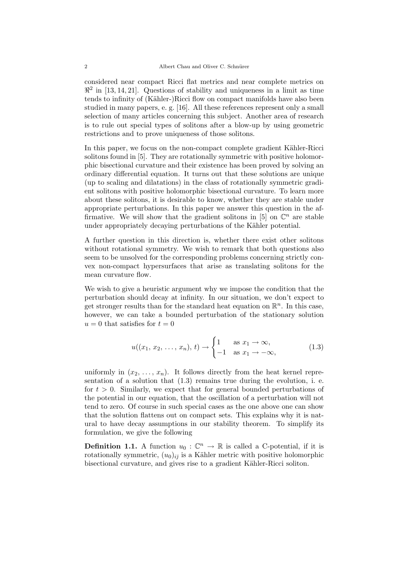considered near compact Ricci flat metrics and near complete metrics on  $\mathbb{R}^2$  in [13, 14, 21]. Questions of stability and uniqueness in a limit as time tends to infinity of (Kähler-)Ricci flow on compact manifolds have also been studied in many papers, e. g. [16]. All these references represent only a small selection of many articles concerning this subject. Another area of research is to rule out special types of solitons after a blow-up by using geometric restrictions and to prove uniqueness of those solitons.

In this paper, we focus on the non-compact complete gradient Kähler-Ricci solitons found in [5]. They are rotationally symmetric with positive holomorphic bisectional curvature and their existence has been proved by solving an ordinary differential equation. It turns out that these solutions are unique (up to scaling and dilatations) in the class of rotationally symmetric gradient solitons with positive holomorphic bisectional curvature. To learn more about these solitons, it is desirable to know, whether they are stable under appropriate perturbations. In this paper we answer this question in the affirmative. We will show that the gradient solitons in [5] on  $\mathbb{C}^n$  are stable under appropriately decaying perturbations of the Kähler potential.

A further question in this direction is, whether there exist other solitons without rotational symmetry. We wish to remark that both questions also seem to be unsolved for the corresponding problems concerning strictly convex non-compact hypersurfaces that arise as translating solitons for the mean curvature flow.

We wish to give a heuristic argument why we impose the condition that the perturbation should decay at infinity. In our situation, we don't expect to get stronger results than for the standard heat equation on  $\mathbb{R}^n$ . In this case, however, we can take a bounded perturbation of the stationary solution  $u = 0$  that satisfies for  $t = 0$ 

$$
u((x_1, x_2, \dots, x_n), t) \to \begin{cases} 1 & \text{as } x_1 \to \infty, \\ -1 & \text{as } x_1 \to -\infty, \end{cases}
$$
 (1.3)

uniformly in  $(x_2, \ldots, x_n)$ . It follows directly from the heat kernel representation of a solution that  $(1.3)$  remains true during the evolution, i. e. for  $t > 0$ . Similarly, we expect that for general bounded perturbations of the potential in our equation, that the oscillation of a perturbation will not tend to zero. Of course in such special cases as the one above one can show that the solution flattens out on compact sets. This explains why it is natural to have decay assumptions in our stability theorem. To simplify its formulation, we give the following

**Definition 1.1.** A function  $u_0 : \mathbb{C}^n \to \mathbb{R}$  is called a C-potential, if it is rotationally symmetric,  $(u_0)_{i\bar{i}}$  is a Kähler metric with positive holomorphic bisectional curvature, and gives rise to a gradient Kähler-Ricci soliton.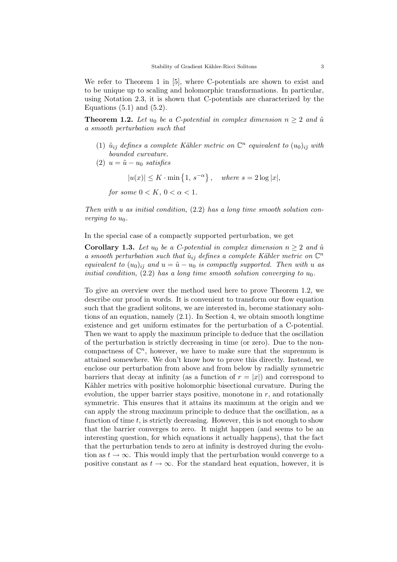We refer to Theorem 1 in [5], where C-potentials are shown to exist and to be unique up to scaling and holomorphic transformations. In particular, using Notation 2.3, it is shown that C-potentials are characterized by the Equations  $(5.1)$  and  $(5.2)$ .

**Theorem 1.2.** Let  $u_0$  be a C-potential in complex dimension  $n \geq 2$  and  $\tilde{u}$ *a smooth perturbation such that*

- (1)  $\tilde{u}_{i\bar{\jmath}}$  *defines a complete Kähler metric on*  $\mathbb{C}^n$  *equivalent to*  $(u_0)_{i\bar{\jmath}}$  *with bounded curvature.*
- (2)  $u = \tilde{u} u_0$  *satisfies* 
	- $|u(x)| \leq K \cdot \min\{1, s^{-\alpha}\}, \text{ where } s = 2\log|x|,$

*for some*  $0 < K$ *,*  $0 < \alpha < 1$ *.* 

*Then with* u *as initial condition,* (2.2) *has a long time smooth solution converging to*  $u_0$ *.* 

In the special case of a compactly supported perturbation, we get

**Corollary 1.3.** *Let*  $u_0$  *be a C-potential in complex dimension*  $n \geq 2$  *and*  $\tilde{u}$ *a smooth perturbation such that*  $\tilde{u}_{i\bar{j}}$  *defines a complete Kähler metric on*  $\mathbb{C}^n$ *equivalent to*  $(u_0)_{i\bar{j}}$  *and*  $u = \tilde{u} - u_0$  *is compactly supported. Then with* u *as initial condition,* (2.2) *has a long time smooth solution converging to*  $u_0$ .

To give an overview over the method used here to prove Theorem 1.2, we describe our proof in words. It is convenient to transform our flow equation such that the gradient solitons, we are interested in, become stationary solutions of an equation, namely  $(2.1)$ . In Section 4, we obtain smooth longtime existence and get uniform estimates for the perturbation of a C-potential. Then we want to apply the maximum principle to deduce that the oscillation of the perturbation is strictly decreasing in time (or zero). Due to the noncompactness of  $\mathbb{C}^n$ , however, we have to make sure that the supremum is attained somewhere. We don't know how to prove this directly. Instead, we enclose our perturbation from above and from below by radially symmetric barriers that decay at infinity (as a function of  $r = |x|$ ) and correspond to Kähler metrics with positive holomorphic bisectional curvature. During the evolution, the upper barrier stays positive, monotone in  $r$ , and rotationally symmetric. This ensures that it attains its maximum at the origin and we can apply the strong maximum principle to deduce that the oscillation, as a function of time  $t$ , is strictly decreasing. However, this is not enough to show that the barrier converges to zero. It might happen (and seems to be an interesting question, for which equations it actually happens), that the fact that the perturbation tends to zero at infinity is destroyed during the evolution as  $t \to \infty$ . This would imply that the perturbation would converge to a positive constant as  $t \to \infty$ . For the standard heat equation, however, it is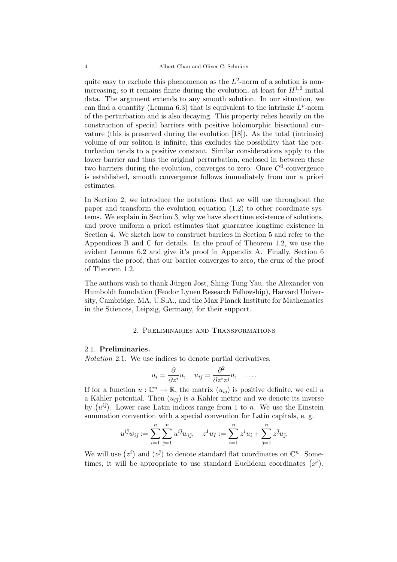quite easy to exclude this phenomenon as the  $L^2$ -norm of a solution is nonincreasing, so it remains finite during the evolution, at least for  $H^{1,2}$  initial data. The argument extends to any smooth solution. In our situation, we can find a quantity (Lemma 6.3) that is equivalent to the intrinsic  $L^p$ -norm of the perturbation and is also decaying. This property relies heavily on the construction of special barriers with positive holomorphic bisectional curvature (this is preserved during the evolution [18]). As the total (intrinsic) volume of our soliton is infinite, this excludes the possibility that the perturbation tends to a positive constant. Similar considerations apply to the lower barrier and thus the original perturbation, enclosed in between these two barriers during the evolution, converges to zero. Once  $C^0$ -convergence is established, smooth convergence follows immediately from our a priori estimates.

In Section 2, we introduce the notations that we will use throughout the paper and transform the evolution equation (1.2) to other coordinate systems. We explain in Section 3, why we have shorttime existence of solutions, and prove uniform a priori estimates that guarantee longtime existence in Section 4. We sketch how to construct barriers in Section 5 and refer to the Appendices B and C for details. In the proof of Theorem 1.2, we use the evident Lemma 6.2 and give it's proof in Appendix A. Finally, Section 6 contains the proof, that our barrier converges to zero, the crux of the proof of Theorem 1.2.

The authors wish to thank Jürgen Jost, Shing-Tung Yau, the Alexander von Humboldt foundation (Feodor Lynen Research Fellowship), Harvard University, Cambridge, MA, U.S.A., and the Max Planck Institute for Mathematics in the Sciences, Leipzig, Germany, for their support.

#### 2. Preliminaries and Transformations

#### 2.1. **Preliminaries.**

*Notation* 2.1*.* We use indices to denote partial derivatives,

$$
u_i = \frac{\partial}{\partial z^i} u, \quad u_{i\bar{j}} = \frac{\partial^2}{\partial z^i z^{\bar{j}}} u, \quad \dots
$$

If for a function  $u : \mathbb{C}^n \to \mathbb{R}$ , the matrix  $(u_{i\bar{\jmath}})$  is positive definite, we call u a Kähler potential. Then  $(u_{i\bar{j}})$  is a Kähler metric and we denote its inverse by  $(u^{i\bar{j}})$ . Lower case Latin indices range from 1 to n. We use the Einstein summation convention with a special convention for Latin capitals, e. g.

$$
u^{i\bar{j}}w_{i\bar{j}} := \sum_{i=1}^{n} \sum_{\bar{j}=1}^{n} u^{i\bar{j}}w_{i\bar{j}}, \quad z^{I}u_{I} := \sum_{i=1}^{n} z^{i}u_{i} + \sum_{\bar{j}=1}^{n} z^{\bar{j}}u_{\bar{j}}.
$$

We will use  $(z^i)$  and  $(z^{\bar{j}})$  to denote standard flat coordinates on  $\mathbb{C}^n$ . Sometimes, it will be appropriate to use standard Euclidean coordinates  $(x<sup>i</sup>)$ .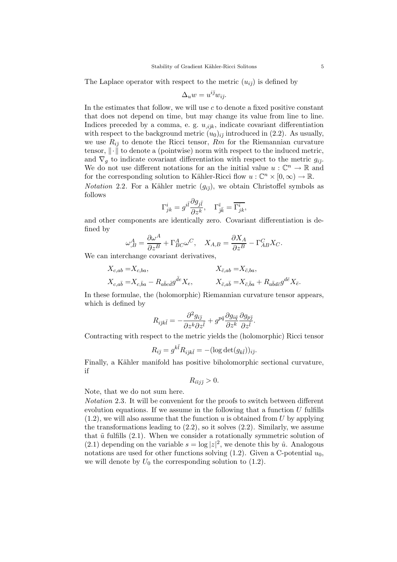The Laplace operator with respect to the metric  $(u_{i\bar{j}})$  is defined by

$$
\Delta_u w=u^{i\bar{\jmath}}w_{i\bar{\jmath}}.
$$

In the estimates that follow, we will use  $c$  to denote a fixed positive constant that does not depend on time, but may change its value from line to line. Indices preceded by a comma, e. g.  $u_{ijk}$ , indicate covariant differentiation with respect to the background metric  $(u_0)_{i\bar{j}}$  introduced in (2.2). As usually, we use  $R_{i\bar{j}}$  to denote the Ricci tensor,  $Rm$  for the Riemannian curvature tensor,  $\|\cdot\|$  to denote a (pointwise) norm with respect to the induced metric, and  $\nabla_q$  to indicate covariant differentiation with respect to the metric  $g_{i\bar{j}}$ . We do not use different notations for an the initial value  $u : \mathbb{C}^n \to \mathbb{R}$  and for the corresponding solution to Kähler-Ricci flow  $u : \mathbb{C}^n \times [0, \infty) \to \mathbb{R}$ . *Notation* 2.2. For a Kähler metric  $(q_{i\bar{j}})$ , we obtain Christoffel symbols as

$$
\Gamma^i_{jk}=g^{i\bar l}\frac{\partial g_{j\bar l}}{\partial z^k},\quad \Gamma^{\bar\imath}_{\bar\jmath\bar k}=\overline{\Gamma^i_{jk}},
$$

and other components are identically zero. Covariant differentiation is defined by

$$
\omega^A_{,B} = \frac{\partial \omega^A}{\partial z^B} + \Gamma^A_{BC} \omega^C, \quad X_{A,B} = \frac{\partial X_A}{\partial z^B} - \Gamma^C_{AB} X_C.
$$

We can interchange covariant derivatives,

follows

$$
X_{c,ab} = X_{c,ba},
$$
  
\n
$$
X_{\bar{c},ab} = X_{\bar{c},ba},
$$
  
\n
$$
X_{\bar{c},ab} = X_{\bar{c},ba},
$$
  
\n
$$
X_{\bar{c},a\bar{b}} = X_{\bar{c},\bar{b}a} + R_{a\bar{b}d\bar{c}}g^{d\bar{c}}X_{\bar{c}}.
$$

In these formulae, the (holomorphic) Riemannian curvature tensor appears, which is defined by

$$
R_{i\bar{j}k\bar{l}} = -\frac{\partial^2 g_{i\bar{j}}}{\partial z^k \partial z^{\bar{l}}} + g^{p\bar{q}} \frac{\partial g_{i\bar{q}}}{\partial z^k} \frac{\partial g_{p\bar{j}}}{\partial z^{\bar{l}}}.
$$

Contracting with respect to the metric yields the (holomorphic) Ricci tensor

$$
R_{i\bar{\jmath}} = g^{k\bar{l}} R_{i\bar{j}k\bar{l}} = -(\log \det(g_{k\bar{l}}))_{i\bar{\jmath}}.
$$

Finally, a Kähler manifold has positive biholomorphic sectional curvature, if

$$
R_{i\bar{i}j\bar{j}}>0.
$$

Note, that we do not sum here.

*Notation* 2.3*.* It will be convenient for the proofs to switch between different evolution equations. If we assume in the following that a function  $U$  fulfills  $(1.2)$ , we will also assume that the function u is obtained from U by applying the transformations leading to  $(2.2)$ , so it solves  $(2.2)$ . Similarly, we assume that  $\tilde{u}$  fulfills (2.1). When we consider a rotationally symmetric solution of (2.1) depending on the variable  $s = \log |z|^2$ , we denote this by  $\hat{u}$ . Analogous notations are used for other functions solving  $(1.2)$ . Given a C-potential  $u_0$ , we will denote by  $U_0$  the corresponding solution to  $(1.2)$ .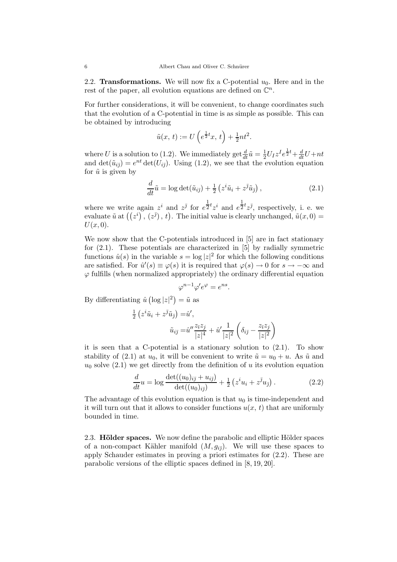2.2. **Transformations.** We will now fix a C-potential  $u_0$ . Here and in the rest of the paper, all evolution equations are defined on  $\mathbb{C}^n$ .

For further considerations, it will be convenient, to change coordinates such that the evolution of a C-potential in time is as simple as possible. This can be obtained by introducing

$$
\tilde{u}(x, t) := U\left(e^{\frac{1}{2}t}x, t\right) + \frac{1}{2}nt^2.
$$

where U is a solution to (1.2). We immediately get  $\frac{d}{dt}\tilde{u} = \frac{1}{2}U_I z^I e^{\frac{1}{2}t} + \frac{d}{dt}U + nt$ and det $(\tilde{u}_{i\bar{j}})=e^{nt}\det(U_{i\bar{j}})$ . Using (1.2), we see that the evolution equation for  $\tilde{u}$  is given by

$$
\frac{d}{dt}\tilde{u} = \log \det(\tilde{u}_{i\bar{j}}) + \frac{1}{2} \left( z^i \tilde{u}_i + z^{\bar{j}} \tilde{u}_{\bar{j}} \right),\tag{2.1}
$$

where we write again  $z^i$  and  $z^{\bar{j}}$  for  $e^{\frac{1}{2}t}z^i$  and  $e^{\frac{1}{2}t}z^{\bar{j}}$ , respectively, i. e. we evaluate  $\tilde{u}$  at  $((z^i), (z^{\bar{j}}), t)$ . The initial value is clearly unchanged,  $\tilde{u}(x, 0) =$  $U(x, 0)$ .

We now show that the C-potentials introduced in [5] are in fact stationary for (2.1). These potentials are characterized in [5] by radially symmetric functions  $\hat{u}(s)$  in the variable  $s = \log |z|^2$  for which the following conditions are satisfied. For  $\hat{u}'(s) \equiv \varphi(s)$  it is required that  $\varphi(s) \to 0$  for  $s \to -\infty$  and  $\varphi$  fulfills (when normalized appropriately) the ordinary differential equation

$$
\varphi^{n-1}\varphi'e^{\varphi} = e^{ns}.
$$

By differentiating  $\hat{u}$  (log  $|z|^2$ ) =  $\tilde{u}$  as

$$
\frac{1}{2} \left( z^i \tilde{u}_i + z^{\bar{\jmath}} \tilde{u}_{\bar{\jmath}} \right) = \hat{u}',
$$
  

$$
\tilde{u}_{i\bar{\jmath}} = \hat{u}'' \frac{z_{\bar{\imath}} z_{\bar{\jmath}}}{|z|^4} + \hat{u}' \frac{1}{|z|^2} \left( \delta_{i\bar{\jmath}} - \frac{z_{\bar{\imath}} z_{\bar{\jmath}}}{|z|^2} \right)
$$

it is seen that a C-potential is a stationary solution to (2.1). To show stability of (2.1) at  $u_0$ , it will be convenient to write  $\tilde{u} = u_0 + u$ . As  $\tilde{u}$  and  $u_0$  solve (2.1) we get directly from the definition of u its evolution equation

$$
\frac{d}{dt}u = \log \frac{\det((u_0)_{i\bar{j}} + u_{i\bar{j}})}{\det((u_0)_{i\bar{j}})} + \frac{1}{2} \left( z^i u_i + z^{\bar{j}} u_{\bar{j}} \right). \tag{2.2}
$$

The advantage of this evolution equation is that  $u_0$  is time-independent and it will turn out that it allows to consider functions  $u(x, t)$  that are uniformly bounded in time.

2.3. **Hölder spaces.** We now define the parabolic and elliptic Hölder spaces of a non-compact Kähler manifold  $(M, g_{i\bar{j}})$ . We will use these spaces to apply Schauder estimates in proving a priori estimates for (2.2). These are parabolic versions of the elliptic spaces defined in [8, 19, 20].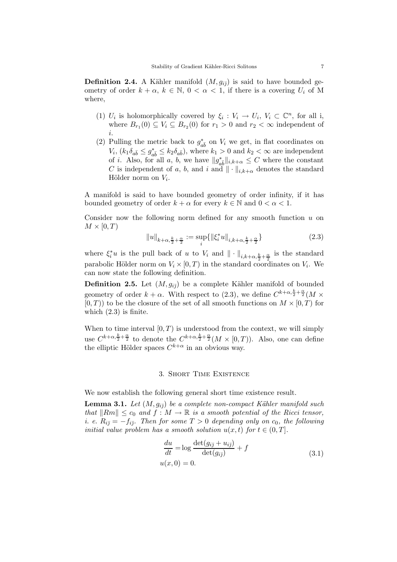**Definition 2.4.** A Kähler manifold  $(M, g_{i\bar{j}})$  is said to have bounded geometry of order  $k + \alpha$ ,  $k \in \mathbb{N}$ ,  $0 < \alpha < 1$ , if there is a covering  $U_i$  of M where,

- (1)  $U_i$  is holomorphically covered by  $\xi_i : V_i \to U_i, V_i \subset \mathbb{C}^n$ , for all i, where  $B_{r_1}(0) \subseteq V_i \subseteq B_{r_2}(0)$  for  $r_1 > 0$  and  $r_2 < \infty$  independent of i.
- (2) Pulling the metric back to  $g_{a\bar{b}}^*$  on  $V_i$  we get, in flat coordinates on  $V_i$ ,  $(k_1\delta_{a\bar{b}} \leq g_{a\bar{b}}^* \leq k_2\delta_{a\bar{b}})$ , where  $k_1 > 0$  and  $k_2 < \infty$  are independent of *i*. Also, for all *a*, *b*, we have  $||g_{a\overline{b}}^*||_{i,k+\alpha} \leq C$  where the constant C is independent of a, b, and i and  $\|\cdot\|_{i,k+\alpha}$  denotes the standard Hölder norm on  $V_i$ .

A manifold is said to have bounded geometry of order infinity, if it has bounded geometry of order  $k + \alpha$  for every  $k \in \mathbb{N}$  and  $0 < \alpha < 1$ .

Consider now the following norm defined for any smooth function  $u$  on  $M \times [0,T)$ 

$$
||u||_{k+\alpha,\frac{k}{2}+\frac{\alpha}{2}} := \sup_{i} \{ ||\xi_i^* u||_{i,k+\alpha,\frac{k}{2}+\frac{\alpha}{2}} \}
$$
\n(2.3)

where  $\xi_i^*u$  is the pull back of u to  $V_i$  and  $\|\cdot\|_{i,k+\alpha,\frac{k}{2}+\frac{\alpha}{2}}$  is the standard parabolic Hölder norm on  $V_i \times [0, T)$  in the standard coordinates on  $V_i$ . We can now state the following definition.

**Definition 2.5.** Let  $(M, g_{i\bar{j}})$  be a complete Kähler manifold of bounded geometry of order  $k + \alpha$ . With respect to (2.3), we define  $C^{k+\alpha,\frac{k}{2}+\frac{\alpha}{2}}(M \times$  $[0, T)$  to be the closure of the set of all smooth functions on  $M \times [0, T)$  for which  $(2.3)$  is finite.

When to time interval  $[0, T)$  is understood from the context, we will simply use  $C^{k+\alpha,\frac{k}{2}+\frac{\alpha}{2}}$  to denote the  $C^{k+\alpha,\frac{k}{2}+\frac{\alpha}{2}}(M\times [0,T)).$  Also, one can define the elliptic Hölder spaces  $C^{k+\alpha}$  in an obvious way.

#### 3. Short Time Existence

We now establish the following general short time existence result.

**Lemma 3.1.** *Let*  $(M, g_{i\bar{\jmath}})$  *be a complete non-compact Kähler manifold such that*  $\|Rm\| \leq c_0$  *and*  $f : M \to \mathbb{R}$  *is a smooth potential of the Ricci tensor, i. e.*  $R_{i\bar{j}} = -f_{i\bar{j}}$ *. Then for some*  $T > 0$  *depending only on*  $c_0$ *, the following initial value problem has a smooth solution*  $u(x, t)$  *for*  $t \in (0, T]$ *.* 

$$
\frac{du}{dt} = \log \frac{\det(g_{i\overline{j}} + u_{i\overline{j}})}{\det(g_{i\overline{j}})} + f
$$
\n
$$
u(x, 0) = 0.
$$
\n(3.1)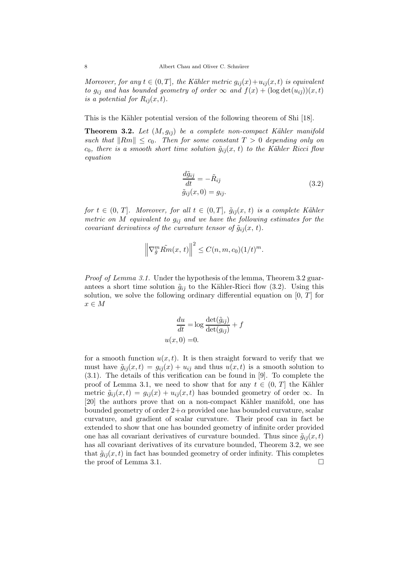*Moreover, for any*  $t \in (0, T]$ *, the Kähler metric*  $g_{i\bar{j}}(x) + u_{i\bar{j}}(x, t)$  *is equivalent to*  $g_{i\bar{j}}$  *and has bounded geometry of order*  $\infty$  *and*  $f(x) + (\log \det(u_{i\bar{j}}))(x, t)$ *is a potential for*  $R_{i\bar{\jmath}}(x,t)$ *.* 

This is the Kähler potential version of the following theorem of Shi [18].

**Theorem 3.2.** Let  $(M, g_{i\bar{j}})$  be a complete non-compact Kähler manifold *such that*  $\|Rm\| \leq c_0$ . Then for some constant  $T > 0$  depending only on  $c_0$ , there is a smooth short time solution  $\tilde{g}_{i\bar{\jmath}}(x, t)$  to the Kähler Ricci flow *equation*

$$
\frac{d\tilde{g}_{i\bar{j}}}{dt} = -\tilde{R}_{i\bar{j}}\tag{3.2}
$$
\n
$$
\tilde{g}_{i\bar{j}}(x,0) = g_{i\bar{j}}.
$$

*for*  $t \in (0, T]$ *. Moreover, for all*  $t \in (0, T]$ *,*  $\tilde{g}_{i\bar{\jmath}}(x, t)$  *is a complete Kähler metric on* M *equivalent to*  $g_{i\bar{j}}$  *and we have the following estimates for the covariant derivatives of the curvature tensor of*  $\tilde{g}_{i\bar{\jmath}}(x, t)$ *.* 

$$
\left\|\nabla_{\tilde{g}}^m \tilde{Rm}(x,t)\right\|^2 \leq C(n,m,c_0) (1/t)^m.
$$

*Proof of Lemma 3.1.* Under the hypothesis of the lemma, Theorem 3.2 guarantees a short time solution  $\tilde{g}_{i\bar{\jmath}}$  to the Kähler-Ricci flow (3.2). Using this solution, we solve the following ordinary differential equation on  $[0, T]$  for  $x \in M$ 

$$
\frac{du}{dt} = \log \frac{\det(\tilde{g}_{i\bar{j}})}{\det(g_{i\bar{j}})} + f
$$

$$
u(x, 0) = 0.
$$

for a smooth function  $u(x, t)$ . It is then straight forward to verify that we must have  $\tilde{g}_{i\bar{j}}(x,t) = g_{i\bar{j}}(x) + u_{i\bar{j}}$  and thus  $u(x,t)$  is a smooth solution to (3.1). The details of this verification can be found in [9]. To complete the proof of Lemma 3.1, we need to show that for any  $t \in (0, T]$  the Kähler metric  $\tilde{g}_{i\bar{\jmath}}(x,t) = g_{i\bar{\jmath}}(x) + u_{i\bar{\jmath}}(x,t)$  has bounded geometry of order  $\infty$ . In [20] the authors prove that on a non-compact Kähler manifold, one has bounded geometry of order  $2+\alpha$  provided one has bounded curvature, scalar curvature, and gradient of scalar curvature. Their proof can in fact be extended to show that one has bounded geometry of infinite order provided one has all covariant derivatives of curvature bounded. Thus since  $\tilde{q}_{i\bar{j}}(x,t)$ has all covariant derivatives of its curvature bounded, Theorem 3.2, we see that  $\tilde{g}_{i\bar{\jmath}}(x,t)$  in fact has bounded geometry of order infinity. This completes the proof of Lemma 3.1. □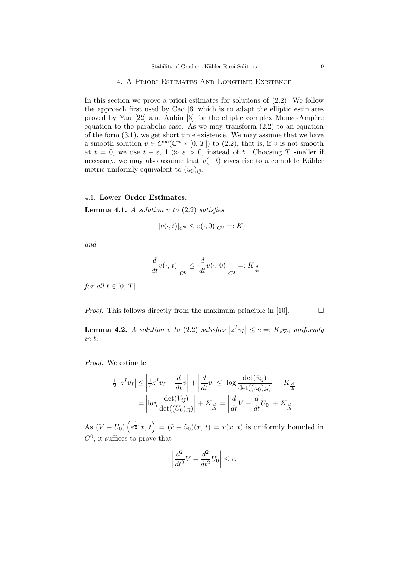#### 4. A Priori Estimates And Longtime Existence

In this section we prove a priori estimates for solutions of  $(2.2)$ . We follow the approach first used by Cao [6] which is to adapt the elliptic estimates proved by Yau  $[22]$  and Aubin  $[3]$  for the elliptic complex Monge-Ampère equation to the parabolic case. As we may transform  $(2.2)$  to an equation of the form (3.1), we get short time existence. We may assume that we have a smooth solution  $v \in C^{\infty}(\mathbb{C}^n \times [0, T])$  to (2.2), that is, if v is not smooth at  $t = 0$ , we use  $t - \varepsilon$ ,  $1 \gg \varepsilon > 0$ , instead of t. Choosing T smaller if necessary, we may also assume that  $v(\cdot, t)$  gives rise to a complete Kähler metric uniformly equivalent to  $(u_0)_{i\bar{\tau}}$ .

#### 4.1. **Lower Order Estimates.**

**Lemma 4.1.** *A solution* v *to* (2.2) *satisfies*

$$
|v(\cdot,t)|_{C^0} \le |v(\cdot,0)|_{C^0} =: K_0
$$

*and*

$$
\left| \frac{d}{dt} v(\cdot, t) \right|_{C^0} \le \left| \frac{d}{dt} v(\cdot, 0) \right|_{C^0} =: K_{\frac{d}{dt}}
$$

*for all*  $t \in [0, T]$ *.* 

*Proof.* This follows directly from the maximum principle in [10].  $\Box$ 

**Lemma 4.2.** *A solution v to* (2.2) *satisfies*  $|z^I v_I| \leq c =: K_z \nabla_v$  *uniformly in* t*.*

*Proof.* We estimate

$$
\frac{1}{2} |z^I v_I| \le \left| \frac{1}{2} z^I v_I - \frac{d}{dt} v \right| + \left| \frac{d}{dt} v \right| \le \left| \log \frac{\det(\tilde{v}_{i\bar{j}})}{\det((u_0)_{i\bar{j}})} \right| + K_{\frac{d}{dt}}
$$
\n
$$
= \left| \log \frac{\det(V_{i\bar{j}})}{\det((U_0)_{i\bar{j}})} \right| + K_{\frac{d}{dt}} = \left| \frac{d}{dt} V - \frac{d}{dt} U_0 \right| + K_{\frac{d}{dt}}.
$$

As  $(V - U_0)(e^{\frac{1}{2}t}x, t) = (\tilde{v} - \tilde{u}_0)(x, t) = v(x, t)$  is uniformly bounded in  $C^0$ , it suffices to prove that

$$
\left| \frac{d^2}{dt^2} V - \frac{d^2}{dt^2} U_0 \right| \le c.
$$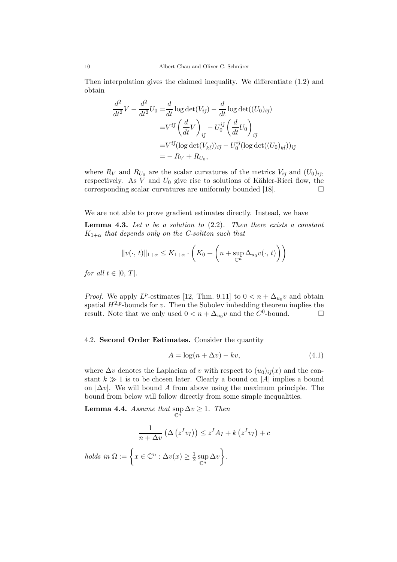Then interpolation gives the claimed inequality. We differentiate (1.2) and obtain

$$
\frac{d^2}{dt^2}V - \frac{d^2}{dt^2}U_0 = \frac{d}{dt}\log \det(V_{i\bar{j}}) - \frac{d}{dt}\log \det((U_0)_{i\bar{j}})
$$
  

$$
= V^{i\bar{j}} \left(\frac{d}{dt}V\right)_{i\bar{j}} - U_0^{i\bar{j}} \left(\frac{d}{dt}U_0\right)_{i\bar{j}}
$$
  

$$
= V^{i\bar{j}} (\log \det(V_{k\bar{l}}))_{i\bar{j}} - U_0^{i\bar{j}} (\log \det((U_0)_{k\bar{l}}))_{i\bar{j}}
$$
  

$$
= -R_V + R_{U_0},
$$

where  $R_V$  and  $R_{U_0}$  are the scalar curvatures of the metrics  $V_{i\bar{j}}$  and  $(U_0)_{i\bar{j}},$ respectively. As  $V$  and  $U_0$  give rise to solutions of Kähler-Ricci flow, the corresponding scalar curvatures are uniformly bounded [18].  $\Box$ 

We are not able to prove gradient estimates directly. Instead, we have

**Lemma 4.3.** *Let* v *be a solution to* (2.2)*. Then there exists a constant*  $K_{1+\alpha}$  *that depends only on the C-soliton such that* 

$$
||v(\cdot, t)||_{1+\alpha} \leq K_{1+\alpha} \cdot \left( K_0 + \left( n + \sup_{\mathbb{C}^n} \Delta_{u_0} v(\cdot, t) \right) \right)
$$

*for all*  $t \in [0, T]$ *.* 

*Proof.* We apply  $L^p$ -estimates [12, Thm. 9.11] to  $0 < n + \Delta_{u_0} v$  and obtain spatial  $H^{2,p}$ -bounds for v. Then the Sobolev imbedding theorem implies the result. Note that we only used  $0 < n + \Delta_{u_0} v$  and the  $C^0$ -bound.

#### 4.2. **Second Order Estimates.** Consider the quantity

$$
A = \log(n + \Delta v) - kv,
$$
\n(4.1)

where  $\Delta v$  denotes the Laplacian of v with respect to  $(u_0)_{i\bar{i}}(x)$  and the constant  $k \gg 1$  is to be chosen later. Clearly a bound on |A| implies a bound on  $|\Delta v|$ . We will bound A from above using the maximum principle. The bound from below will follow directly from some simple inequalities.

**Lemma 4.4.** *Assume that*  $\sup_{\mathbb{C}^n} \Delta v \geq 1$ *. Then* 

$$
\frac{1}{n + \Delta v} \left( \Delta \left( z^I v_I \right) \right) \le z^I A_I + k \left( z^I v_I \right) + c
$$
  
*holds in*  $\Omega := \left\{ x \in \mathbb{C}^n : \Delta v(x) \ge \frac{1}{2} \sup_{\mathbb{C}^n} \Delta v \right\}.$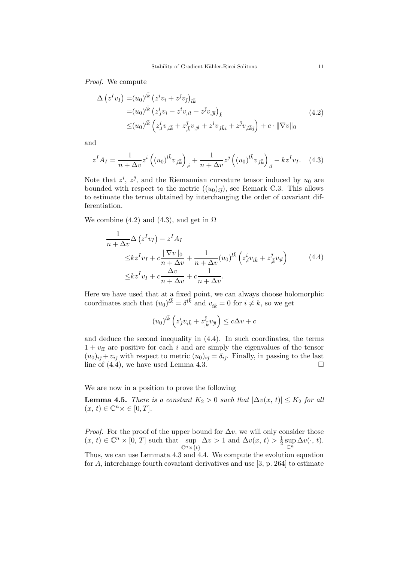*Proof.* We compute

$$
\Delta (z^I v_I) = (u_0)^{l\bar{k}} (z^i v_i + z^{\bar{j}} v_{\bar{j}})_{l\bar{k}} \n= (u_0)^{l\bar{k}} (z^i_{,l} v_i + z^i v_{,il} + z^{\bar{j}} v_{,\bar{j}l})_{\bar{k}} \n\le (u_0)^{l\bar{k}} (z^i_{,l} v_{,i\bar{k}} + z^{\bar{j}}_{,k} v_{,j\bar{l}} + z^i v_{,l\bar{k}i} + z^{\bar{j}} v_{,l\bar{k}\bar{j}}) + c \cdot ||\nabla v||_0
$$
\n(4.2)

and

$$
z^{I} A_{I} = \frac{1}{n + \Delta v} z^{i} \left( (u_{0})^{l \bar{k}} v_{, l \bar{k}} \right)_{,i} + \frac{1}{n + \Delta v} z^{\bar{j}} \left( (u_{0})^{l \bar{k}} v_{, l \bar{k}} \right)_{, \bar{j}} - k z^{I} v_{I}. \quad (4.3)
$$

Note that  $z^i$ ,  $z^{\bar{j}}$ , and the Riemannian curvature tensor induced by  $u_0$  are bounded with respect to the metric  $((u_0)_{i\bar{i}})$ , see Remark C.3. This allows to estimate the terms obtained by interchanging the order of covariant differentiation.

We combine (4.2) and (4.3), and get in  $\Omega$ 

$$
\frac{1}{n + \Delta v} \Delta (z^I v_I) - z^I A_I
$$
\n
$$
\leq k z^I v_I + c \frac{\|\nabla v\|_0}{n + \Delta v} + \frac{1}{n + \Delta v} (u_0)^{l\bar{k}} \left( z^i_{,l} v_{i\bar{k}} + z^{\bar{j}}_{,\bar{k}} v_{\bar{j}l} \right) \tag{4.4}
$$
\n
$$
\leq k z^I v_I + c \frac{\Delta v}{n + \Delta v} + c \frac{1}{n + \Delta v}.
$$

Here we have used that at a fixed point, we can always choose holomorphic coordinates such that  $(u_0)^{l\bar{k}} = \delta^{l\bar{k}}$  and  $v_{i\bar{k}} = 0$  for  $i \neq k$ , so we get

$$
(u_0)^{l\bar{k}}\left(z^i_{,l}v_{i\bar{k}}+z^{\bar{\jmath}}_{,\bar{k}}v_{\bar{\jmath}l}\right)\leq c\Delta v+c
$$

and deduce the second inequality in (4.4). In such coordinates, the terms  $1 + v_{i\bar{i}}$  are positive for each i and are simply the eigenvalues of the tensor  $(u_0)_{i\bar{j}}+v_{i\bar{j}}$  with respect to metric  $(u_0)_{i\bar{j}}=\delta_{i\bar{j}}$ . Finally, in passing to the last line of  $(4.4)$ , we have used Lemma 4.3.

We are now in a position to prove the following

**Lemma 4.5.** *There is a constant*  $K_2 > 0$  *such that*  $|\Delta v(x, t)| \leq K_2$  *for all*  $(x, t) \in \mathbb{C}^n \times \in [0, T].$ 

*Proof.* For the proof of the upper bound for  $\Delta v$ , we will only consider those  $(x, t) \in \mathbb{C}^n \times [0, T]$  such that sup  $\mathbb{C}^n \times \overline{\{t\}}$  $\Delta v > 1$  and  $\Delta v(x, t) > \frac{1}{2} \sup_{\mathbb{C}^n} \Delta v(\cdot, t)$ . Thus, we can use Lemmata 4.3 and 4.4. We compute the evolution equation for A, interchange fourth covariant derivatives and use [3, p. 264] to estimate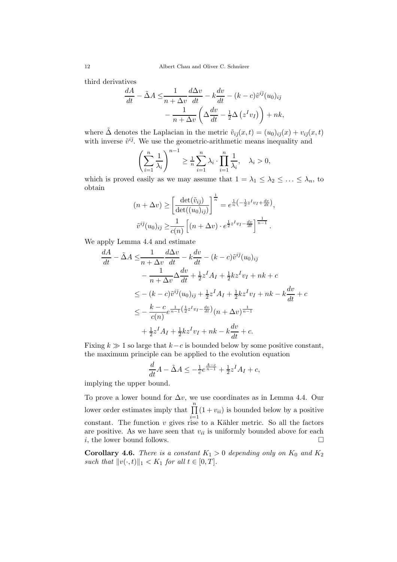third derivatives

$$
\frac{dA}{dt} - \tilde{\Delta}A \le \frac{1}{n + \Delta v} \frac{d\Delta v}{dt} - k \frac{dv}{dt} - (k - c)\tilde{v}^{i\bar{j}}(u_0)_{i\bar{j}} \n- \frac{1}{n + \Delta v} \left( \Delta \frac{dv}{dt} - \frac{1}{2} \Delta \left( z^I v_I \right) \right) + nk,
$$

where  $\tilde{\Delta}$  denotes the Laplacian in the metric  $\tilde{v}_{i\bar{j}}(x,t)=(u_0)_{i\bar{j}}(x) + v_{i\bar{j}}(x,t)$ with inverse  $\tilde{v}^{i\bar{j}}$ . We use the geometric-arithmetic means inequality and

$$
\left(\sum_{i=1}^n \frac{1}{\lambda_i}\right)^{n-1} \ge \frac{1}{n} \sum_{i=1}^n \lambda_i \cdot \prod_{i=1}^n \frac{1}{\lambda_i}, \quad \lambda_i > 0,
$$

which is proved easily as we may assume that  $1 = \lambda_1 \leq \lambda_2 \leq \ldots \leq \lambda_n$ , to obtain

$$
(n + \Delta v) \ge \left[\frac{\det(\tilde{v}_{i\bar{j}})}{\det((u_0)_{i\bar{j}})}\right]^{\frac{1}{n}} = e^{\frac{1}{n}\left(-\frac{1}{2}z^I v_I + \frac{dv}{dt}\right)},
$$
  

$$
\tilde{v}^{i\bar{j}}(u_0)_{i\bar{j}} \ge \frac{1}{c(n)}\left[(n + \Delta v) \cdot e^{\frac{1}{2}z^I v_I - \frac{dv}{dt}}\right]^{\frac{1}{n-1}}.
$$

We apply Lemma 4.4 and estimate

$$
\frac{dA}{dt} - \tilde{\Delta}A \le \frac{1}{n + \Delta v} \frac{d\Delta v}{dt} - k\frac{dv}{dt} - (k - c)\tilde{v}^{i\bar{j}}(u_0)_{i\bar{j}} \n- \frac{1}{n + \Delta v} \Delta \frac{dv}{dt} + \frac{1}{2}z^I A_I + \frac{1}{2}kz^I v_I + nk + c \n\le -(k - c)\tilde{v}^{i\bar{j}}(u_0)_{i\bar{j}} + \frac{1}{2}z^I A_I + \frac{1}{2}kz^I v_I + nk - k\frac{dv}{dt} + c \n\le -\frac{k - c}{c(n)} e^{\frac{1}{n - 1}(\frac{1}{2}z^I v_I - \frac{dv}{dt})}(n + \Delta v)^{\frac{1}{n - 1}} \n+ \frac{1}{2}z^I A_I + \frac{1}{2}kz^I v_I + nk - k\frac{dv}{dt} + c.
$$

Fixing  $k \gg 1$  so large that  $k - c$  is bounded below by some positive constant, the maximum principle can be applied to the evolution equation

$$
\frac{d}{dt}A - \tilde{\Delta}A \le -\frac{1}{c}e^{\frac{A-c}{n-1}} + \frac{1}{2}z^I A_I + c,
$$

implying the upper bound.

To prove a lower bound for  $\Delta v$ , we use coordinates as in Lemma 4.4. Our lower order estimates imply that  $\prod_{i=1}^{n} (1 + v_{ii})$  is bounded below by a positive  $i=1$ constant. The function  $v$  gives rise to a Kähler metric. So all the factors are positive. As we have seen that  $v_{i\bar{i}}$  is uniformly bounded above for each i, the lower bound follows.  $\Box$ 

**Corollary 4.6.** *There is a constant*  $K_1 > 0$  *depending only on*  $K_0$  *and*  $K_2$ *such that*  $||v(\cdot, t)||_1 < K_1$  *for all*  $t \in [0, T]$ *.*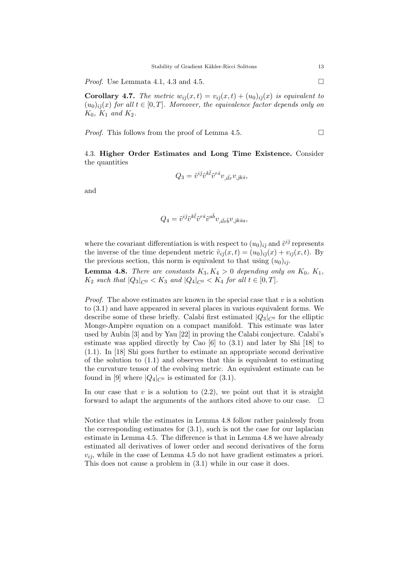*Proof.* Use Lemmata 4.1, 4.3 and 4.5. □

**Corollary 4.7.** *The metric*  $w_{i\bar{j}}(x,t) = v_{i\bar{j}}(x,t) + (u_0)_{i\bar{j}}(x)$  *is equivalent to*  $(u_0)_{i\bar{j}}(x)$  *for all*  $t \in [0, T]$ *. Moreover, the equivalence factor depends only on*  $K_0$ ,  $K_1$  *and*  $K_2$ .

*Proof.* This follows from the proof of Lemma 4.5.

4.3. **Higher Order Estimates and Long Time Existence.** Consider the quantities

$$
Q_3=\tilde{v}^{i\bar{\jmath}}\tilde{v}^{k\bar{l}}\tilde{v}^{r\bar{s}}v_{,i\bar{l}r}v_{,\bar{\jmath}k\bar{s}},
$$

and

$$
Q_4 = \tilde{v}^{i\bar{j}} \tilde{v}^{k\bar{l}} \tilde{v}^{r\bar{s}} \tilde{v}^{a\bar{b}} v_{,i\bar{l}r\bar{b}} v_{,\bar{j}k\bar{s}a},
$$

where the covariant differentiation is with respect to  $(u_0)_{i\bar{j}}$  and  $\tilde{v}^{i\bar{j}}$  represents the inverse of the time dependent metric  $\tilde{v}_{i\bar{j}}(x,t)=(u_0)_{i\bar{j}}(x) + v_{i\bar{j}}(x,t)$ . By the previous section, this norm is equivalent to that using  $(u_0)_{i\bar{j}}$ .

**Lemma 4.8.** *There are constants*  $K_3, K_4 > 0$  *depending only on*  $K_0, K_1$ *,*  $K_2$  *such that*  $|Q_3|_{C^0} < K_3$  *and*  $|Q_4|_{C^0} < K_4$  *for all*  $t \in [0, T]$ *.* 

*Proof.* The above estimates are known in the special case that  $v$  is a solution to (3.1) and have appeared in several places in various equivalent forms. We describe some of these briefly. Calabi first estimated  $|Q_3|_{C^0}$  for the elliptic Monge-Ampère equation on a compact manifold. This estimate was later used by Aubin [3] and by Yau [22] in proving the Calabi conjecture. Calabi's estimate was applied directly by Cao [6] to (3.1) and later by Shi [18] to (1.1). In [18] Shi goes further to estimate an appropriate second derivative of the solution to (1.1) and observes that this is equivalent to estimating the curvature tensor of the evolving metric. An equivalent estimate can be found in [9] where  $|Q_4|_{C^0}$  is estimated for (3.1).

In our case that  $v$  is a solution to  $(2.2)$ , we point out that it is straight forward to adapt the arguments of the authors cited above to our case.  $\Box$ 

Notice that while the estimates in Lemma 4.8 follow rather painlessly from the corresponding estimates for  $(3.1)$ , such is not the case for our laplacian estimate in Lemma 4.5. The difference is that in Lemma 4.8 we have already estimated all derivatives of lower order and second derivatives of the form  $v_{i\bar{\jmath}}$ , while in the case of Lemma 4.5 do not have gradient estimates a priori. This does not cause a problem in (3.1) while in our case it does.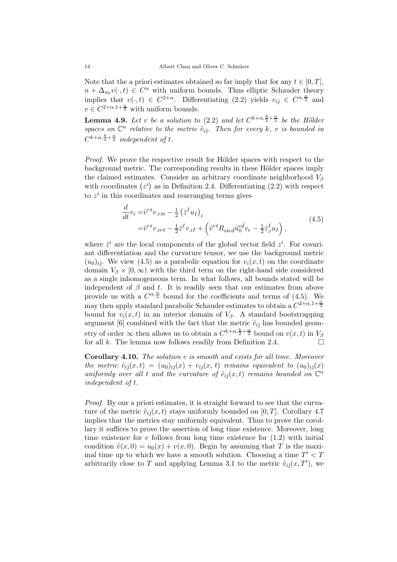Note that the a priori estimates obtained so far imply that for any  $t \in [0, T]$ ,  $n + \Delta_{u_0} v(\cdot, t) \in C^{\alpha}$  with uniform bounds. Thus elliptic Schauder theory implies that  $v(\cdot,t) \in C^{2+\alpha}$ . Differentiating (2.2) yields  $v_{i\bar{j}} \in C^{\alpha,\frac{\alpha}{2}}$  and  $v \in C^{2+\alpha,1+\frac{\alpha}{2}}$  with uniform bounds.

**Lemma 4.9.** *Let* v *be a solution to* (2.2) *and let*  $C^{k+\alpha,\frac{k}{2}+\frac{\alpha}{2}}$  *be the Hölder spaces on*  $\mathbb{C}^n$  *relative to the metric*  $\tilde{v}_{i\bar{j}}$ *. Then for every* k, v *is bounded in*  $C^{k+\alpha,\frac{k}{2}+\frac{\alpha}{2}}$  *independent of t.* 

*Proof.* We prove the respective result for Hölder spaces with respect to the background metric. The corresponding results in these Hölder spaces imply the claimed estimates. Consider an arbitrary coordinate neighborhood  $V_{\beta}$ with coordinates  $(z<sup>i</sup>)$  as in Definition 2.4. Differentiating  $(2.2)$  with respect to  $z<sup>i</sup>$  in this coordinates and rearranging terms gives

$$
\frac{d}{dt}v_i = \tilde{v}^{r\bar{s}}v_{,r\bar{s}i} - \frac{1}{2}(\hat{z}^I u_I)_i
$$
\n
$$
= \tilde{v}^{r\bar{s}}v_{,ir\bar{s}} - \frac{1}{2}\hat{z}^I v_{,iI} + (\tilde{v}^{r\bar{s}}R_{i\bar{s}r\bar{d}}\tilde{u}_0^{e\bar{d}}v_e - \frac{1}{2}\hat{z}_i^I u_I),
$$
\n(4.5)

where  $\hat{z}^i$  are the local components of the global vector field  $z^i$ . For covariant differentiation and the curvature tensor, we use the background metric  $(u_0)_{i\bar{j}}$ . We view (4.5) as a parabolic equation for  $v_i(x, t)$  on the coordinate domain  $V_\beta \times [0,\infty)$  with the third term on the right-hand side considered as a single inhomogeneous term. In what follows, all bounds stated will be independent of  $\beta$  and t. It is readily seen that our estimates from above provide us with a  $C^{\alpha, \frac{\alpha}{2}}$  bound for the coefficients and terms of (4.5). We may then apply standard parabolic Schauder estimates to obtain a  $C^{2+\alpha,1+\frac{\alpha}{2}}$ bound for  $v_i(x, t)$  in an interior domain of  $V_\beta$ . A standard bootstrapping argument [6] combined with the fact that the metric  $\tilde{v}_{i\bar{j}}$  has bounded geometry of order  $\infty$  then allows us to obtain a  $C^{k+\alpha,\frac{k}{2}+\frac{\alpha}{2}}$  bound on  $v(x,t)$  in  $V_{\beta}$ for all  $k$ . The lemma now follows readily from Definition 2.4.

**Corollary 4.10.** *The solution* v *is smooth and exists for all time. Moreover the metric*  $\tilde{v}_{i\bar{j}}(x,t)=(u_0)_{i\bar{j}}(x) + v_{i\bar{j}}(x, t)$  *remains equivalent to*  $(u_0)_{i\bar{j}}(x)$ *uniformly over all t and the curvature of*  $\tilde{v}_{i\bar{j}}(x, t)$  *remains bounded on*  $\mathbb{C}^n$ *independent of* t*.*

*Proof.* By our a priori estimates, it is straight forward to see that the curvature of the metric  $\tilde{v}_{i\bar{j}}(x, t)$  stays uniformly bounded on [0, T]. Corollary 4.7 implies that the metrics stay uniformly equivalent. Thus to prove the corollary it suffices to prove the assertion of long time existence. Moreover, long time existence for  $v$  follows from long time existence for  $(1.2)$  with initial condition  $\tilde{v}(x, 0) = u_0(x) + v(x, 0)$ . Begin by assuming that T is the maximal time up to which we have a smooth solution. Choosing a time  $T' < T$ arbitrarily close to T and applying Lemma 3.1 to the metric  $\tilde{v}_{i\bar{j}}(x,T')$ , we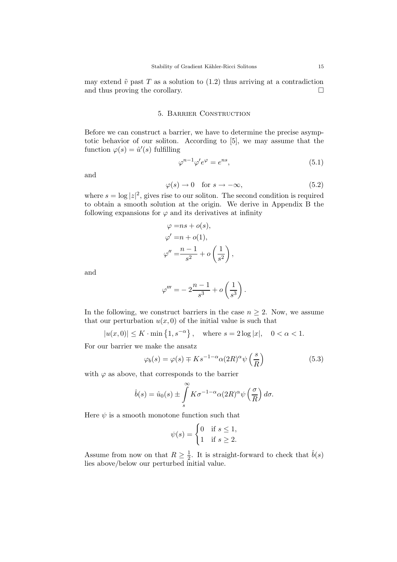may extend  $\tilde{v}$  past T as a solution to (1.2) thus arriving at a contradiction and thus proving the corollary.

#### 5. Barrier Construction

Before we can construct a barrier, we have to determine the precise asymptotic behavior of our soliton. According to [5], we may assume that the function  $\varphi(s) = \hat{u}'(s)$  fulfilling

$$
\varphi^{n-1}\varphi'e^{\varphi} = e^{ns},\tag{5.1}
$$

and

$$
\varphi(s) \to 0 \quad \text{for } s \to -\infty,
$$
\n(5.2)

where  $s = \log |z|^2$ , gives rise to our soliton. The second condition is required to obtain a smooth solution at the origin. We derive in Appendix B the following expansions for  $\varphi$  and its derivatives at infinity

$$
\varphi = ns + o(s),
$$
  
\n
$$
\varphi' = n + o(1),
$$
  
\n
$$
\varphi'' = \frac{n-1}{s^2} + o\left(\frac{1}{s^2}\right),
$$

and

$$
\varphi''' = -2\frac{n-1}{s^3} + o\left(\frac{1}{s^3}\right).
$$

In the following, we construct barriers in the case  $n \geq 2$ . Now, we assume that our perturbation  $u(x, 0)$  of the initial value is such that

$$
|u(x,0)| \le K \cdot \min\{1, s^{-\alpha}\}, \text{ where } s = 2\log|x|, \quad 0 < \alpha < 1.
$$

For our barrier we make the ansatz

$$
\varphi_b(s) = \varphi(s) \mp K s^{-1-\alpha} \alpha (2R)^{\alpha} \psi\left(\frac{s}{R}\right)
$$
\n(5.3)

with  $\varphi$  as above, that corresponds to the barrier

$$
\hat{b}(s) = \hat{u}_0(s) \pm \int\limits_s^\infty K \sigma^{-1-\alpha} \alpha(2R)^\alpha \psi\left(\frac{\sigma}{R}\right) d\sigma.
$$

Here  $\psi$  is a smooth monotone function such that

$$
\psi(s) = \begin{cases} 0 & \text{if } s \le 1, \\ 1 & \text{if } s \ge 2. \end{cases}
$$

Assume from now on that  $R \geq \frac{1}{2}$ . It is straight-forward to check that  $\hat{b}(s)$ lies above/below our perturbed initial value.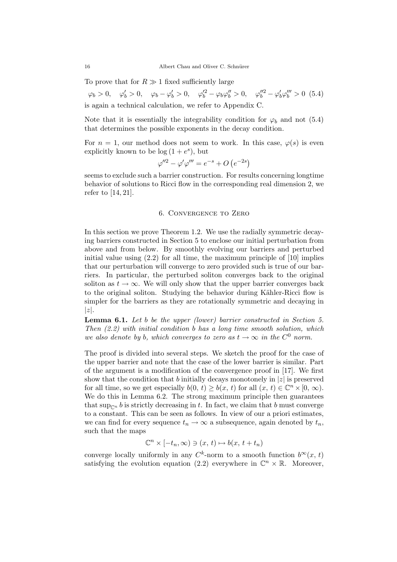To prove that for  $R \gg 1$  fixed sufficiently large

 $\varphi_b > 0, \quad \varphi'_b > 0, \quad \varphi_b - \varphi'_b > 0, \quad \varphi''^2_b - \varphi_b \varphi''^2_b > 0, \quad \varphi''^2_b - \varphi'_b \varphi'''^2_b > 0$  (5.4) is again a technical calculation, we refer to Appendix C.

Note that it is essentially the integrability condition for  $\varphi_b$  and not (5.4) that determines the possible exponents in the decay condition.

For  $n = 1$ , our method does not seem to work. In this case,  $\varphi(s)$  is even explicitly known to be  $log(1+e^s)$ , but

$$
\varphi''^2 - \varphi'\varphi''' = e^{-s} + O\left(e^{-2s}\right)
$$

seems to exclude such a barrier construction. For results concerning longtime behavior of solutions to Ricci flow in the corresponding real dimension 2, we refer to [14, 21].

#### 6. Convergence to Zero

In this section we prove Theorem 1.2. We use the radially symmetric decaying barriers constructed in Section 5 to enclose our initial perturbation from above and from below. By smoothly evolving our barriers and perturbed initial value using (2.2) for all time, the maximum principle of [10] implies that our perturbation will converge to zero provided such is true of our barriers. In particular, the perturbed soliton converges back to the original soliton as  $t \to \infty$ . We will only show that the upper barrier converges back to the original soliton. Studying the behavior during Kähler-Ricci flow is simpler for the barriers as they are rotationally symmetric and decaying in  $|z|$ .

**Lemma 6.1.** *Let* b *be the upper (lower) barrier constructed in Section 5. Then (2.2) with initial condition* b *has a long time smooth solution, which we also denote by b, which converges to zero as*  $t \to \infty$  *in the*  $C^0$  *norm.* 

The proof is divided into several steps. We sketch the proof for the case of the upper barrier and note that the case of the lower barrier is similar. Part of the argument is a modification of the convergence proof in [17]. We first show that the condition that b initially decays monotonely in  $|z|$  is preserved for all time, so we get especially  $b(0, t) \ge b(x, t)$  for all  $(x, t) \in \mathbb{C}^n \times [0, \infty)$ . We do this in Lemma 6.2. The strong maximum principle then guarantees that sup<sub> $\cap$ </sub> b is strictly decreasing in t. In fact, we claim that b must converge to a constant. This can be seen as follows. In view of our a priori estimates, we can find for every sequence  $t_n \to \infty$  a subsequence, again denoted by  $t_n$ , such that the maps

$$
\mathbb{C}^n \times [-t_n, \infty) \ni (x, t) \mapsto b(x, t + t_n)
$$

converge locally uniformly in any  $C^k$ -norm to a smooth function  $b^\infty(x, t)$ satisfying the evolution equation (2.2) everywhere in  $\mathbb{C}^n \times \mathbb{R}$ . Moreover,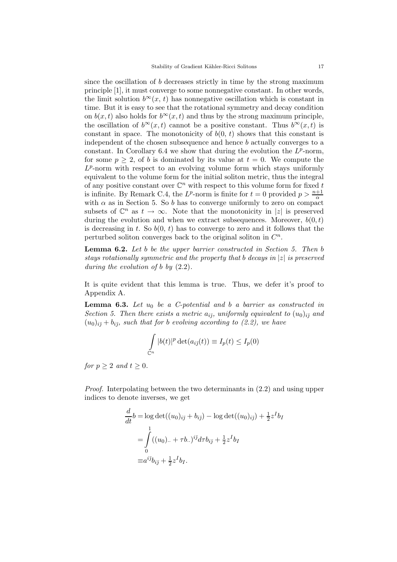since the oscillation of b decreases strictly in time by the strong maximum principle [1], it must converge to some nonnegative constant. In other words, the limit solution  $b^{\infty}(x, t)$  has nonnegative oscillation which is constant in time. But it is easy to see that the rotational symmetry and decay condition on  $b(x, t)$  also holds for  $b^{\infty}(x, t)$  and thus by the strong maximum principle, the oscillation of  $b^{\infty}(x,t)$  cannot be a positive constant. Thus  $b^{\infty}(x,t)$  is constant in space. The monotonicity of  $b(0, t)$  shows that this constant is independent of the chosen subsequence and hence b actually converges to a constant. In Corollary 6.4 we show that during the evolution the  $L^p$ -norm, for some  $p \geq 2$ , of b is dominated by its value at  $t = 0$ . We compute the  $L^p$ -norm with respect to an evolving volume form which stays uniformly equivalent to the volume form for the initial soliton metric, thus the integral of any positive constant over  $\mathbb{C}^n$  with respect to this volume form for fixed t is infinite. By Remark C.4, the  $L^p$ -norm is finite for  $t=0$  provided  $p > \frac{n+1}{\alpha}$ with  $\alpha$  as in Section 5. So b has to converge uniformly to zero on compact subsets of  $\mathbb{C}^n$  as  $t \to \infty$ . Note that the monotonicity in |z| is preserved during the evolution and when we extract subsequences. Moreover,  $b(0, t)$ is decreasing in t. So  $b(0, t)$  has to converge to zero and it follows that the perturbed soliton converges back to the original soliton in  $C<sup>n</sup>$ .

**Lemma 6.2.** *Let* b *be the upper barrier constructed in Section 5. Then* b *stays rotationally symmetric and the property that* b *decays in* |z| *is preserved during the evolution of* b *by* (2.2)*.*

It is quite evident that this lemma is true. Thus, we defer it's proof to Appendix A.

**Lemma 6.3.** Let  $u_0$  be a C-potential and b a barrier as constructed in *Section 5. Then there exists a metric*  $a_{i\bar{\jmath}}$ *, uniformly equivalent to*  $(u_0)_{i\bar{\jmath}}$  *and*  $(u_0)_{i\bar{i}} + b_{i\bar{j}}$ *, such that for b evolving according to (2.2), we have* 

$$
\int_{\mathbb{C}^n} |b(t)|^p \det(a_{i\bar{j}}(t)) \equiv I_p(t) \le I_p(0)
$$

*for*  $p \geq 2$  *and*  $t \geq 0$ *.* 

*Proof.* Interpolating between the two determinants in (2.2) and using upper indices to denote inverses, we get

$$
\frac{d}{dt}b = \log \det((u_0)_{i\bar{j}} + b_{i\bar{j}}) - \log \det((u_0)_{i\bar{j}}) + \frac{1}{2}z^I b_I
$$
  
= 
$$
\int_0^1 ((u_0)_{\cdot\cdot} + \tau b_{\cdot\cdot})^{i\bar{j}} d\tau b_{i\bar{j}} + \frac{1}{2}z^I b_I
$$
  
\equiv  $a^{i\bar{j}}b_{i\bar{j}} + \frac{1}{2}z^I b_I$ .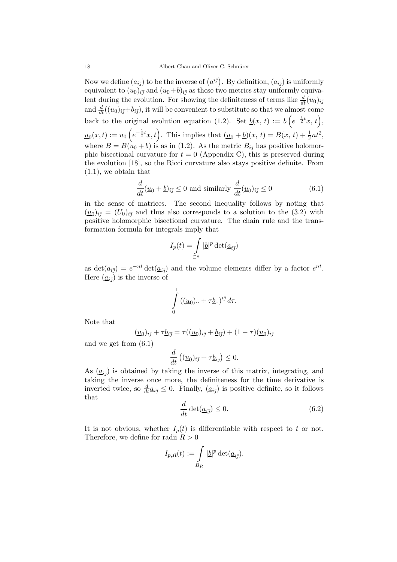Now we define  $(a_{i\bar{j}})$  to be the inverse of  $(a^{i\bar{j}})$ . By definition,  $(a_{i\bar{j}})$  is uniformly equivalent to  $(u_0)_{i\bar{j}}$  and  $(u_0+b)_{i\bar{j}}$  as these two metrics stay uniformly equivalent during the evolution. For showing the definiteness of terms like  $\frac{d}{dt}(u_0)_{i\bar{j}}$ and  $\frac{d}{dt}((u_0)_{i\bar{j}}+b_{i\bar{j}})$ , it will be convenient to substitute so that we almost come back to the original evolution equation (1.2). Set  $\underline{b}(x, t) := b\left(e^{-\frac{1}{2}t}x, t\right),$  $u_0(x,t) := u_0\left(e^{-\frac{1}{2}t}x,t\right)$ . This implies that  $(u_0 + b)(x, t) = B(x, t) + \frac{1}{2}nt^2$ , where  $B = B(u_0 + b)$  is as in (1.2). As the metric  $B_{i\bar{j}}$  has positive holomorphic bisectional curvature for  $t = 0$  (Appendix C), this is preserved during the evolution [18], so the Ricci curvature also stays positive definite. From (1.1), we obtain that

$$
\frac{d}{dt}(\underline{u}_0 + \underline{b})_{i\bar{j}} \le 0 \text{ and similarly } \frac{d}{dt}(\underline{u}_0)_{i\bar{j}} \le 0 \tag{6.1}
$$

in the sense of matrices. The second inequality follows by noting that  $(\underline{u}_0)_{i\bar{i}} = (U_0)_{i\bar{i}}$  and thus also corresponds to a solution to the (3.2) with positive holomorphic bisectional curvature. The chain rule and the transformation formula for integrals imply that

$$
I_p(t) = \int\limits_{\mathbb{C}^n} |\underline{b}|^p \det(\underline{a}_{ij})
$$

as  $\det(a_{i\bar{j}})=e^{-nt}\det(\underline{a}_{i\bar{j}})$  and the volume elements differ by a factor  $e^{nt}$ . Here  $(\underline{a}_{i\bar{\jmath}})$  is the inverse of

$$
\int\limits_0^1 ((\underline{u}_0)_+ + \tau \underline{b}_\cdot)^{i\bar{j}} d\tau.
$$

Note that

$$
(\underline{u}_0)_{i\bar\jmath}+\tau \underline{b}_{i\bar\jmath}=\tau((\underline{u}_0)_{i\bar\jmath}+\underline{b}_{i\bar\jmath})+(1-\tau)(\underline{u}_0)_{i\bar\jmath}
$$

and we get from (6.1)

$$
\frac{d}{dt}\left((\underline{u}_0)_{i\bar{j}} + \tau \underline{b}_{i\bar{j}}\right) \leq 0.
$$

As  $(a_{i\bar{i}})$  is obtained by taking the inverse of this matrix, integrating, and taking the inverse once more, the definiteness for the time derivative is inverted twice, so  $\frac{d}{dt}\underline{a}_{i\bar{j}} \leq 0$ . Finally,  $(\underline{a}_{i\bar{j}})$  is positive definite, so it follows that

$$
\frac{d}{dt}\det(\underline{a}_{i\bar{j}}) \le 0.
$$
\n(6.2)

It is not obvious, whether  $I_p(t)$  is differentiable with respect to t or not. Therefore, we define for radii  $R > 0$ 

$$
I_{p,R}(t) := \int\limits_{B_R} |\underline{b}|^p \det(\underline{a}_{i\overline{j}}).
$$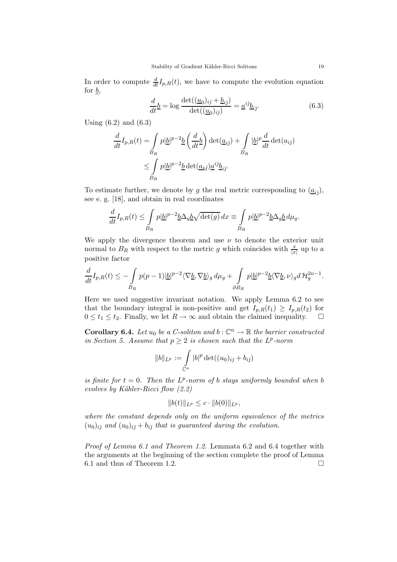In order to compute  $\frac{d}{dt}I_{p,R}(t)$ , we have to compute the evolution equation for  $\underline{b}$ ,

$$
\frac{d}{dt}\underline{b} = \log \frac{\det((\underline{u}_0)_{i\bar{j}} + \underline{b}_{i\bar{j}})}{\det((\underline{u}_0)_{i\bar{j}})} = \underline{a}^{i\bar{j}}\underline{b}_{i\bar{j}}.\tag{6.3}
$$

Using  $(6.2)$  and  $(6.3)$ 

$$
\frac{d}{dt}I_{p,R}(t) = \int_{B_R} p|\underline{b}|^{p-2}\underline{b}\left(\frac{d}{dt}\underline{b}\right) \det(\underline{a}_{i\bar{j}}) + \int_{B_R} |\underline{b}|^p \frac{d}{dt} \det(a_{i\bar{j}})
$$
\n
$$
\leq \int_{B_R} p|\underline{b}|^{p-2}\underline{b} \det(\underline{a}_{k\bar{l}})\underline{a}^{i\bar{j}}\underline{b}_{i\bar{j}}.
$$

To estimate further, we denote by g the real metric corresponding to  $(\underline{a}_{i\bar{\jmath}})$ , see e. g. [18], and obtain in real coordinates

$$
\frac{d}{dt}I_{p,R}(t) \le \int\limits_{B_R} p|\underline{b}|^{p-2} \underline{b} \Delta_g \underline{b} \sqrt{\det(g)} \, dx \equiv \int\limits_{B_R} p|\underline{b}|^{p-2} \underline{b} \Delta_g \underline{b} \, d\mu_g.
$$

We apply the divergence theorem and use  $\nu$  to denote the exterior unit normal to  $B_R$  with respect to the metric g which coincides with  $\frac{x}{|x|}$  up to a positive factor

$$
\frac{d}{dt}I_{p,R}(t) \leq -\int\limits_{B_R} p(p-1)|\underline{b}|^{p-2}\langle \nabla \underline{b}, \nabla \underline{b}\rangle_g d\mu_g + \int\limits_{\partial B_R} p|\underline{b}|^{p-2}\underline{b}\langle \nabla \underline{b}, \nu \rangle_g d\mathcal{H}_g^{2n-1}.
$$

Here we used suggestive invariant notation. We apply Lemma 6.2 to see that the boundary integral is non-positive and get  $I_{p,R}(t_1) \geq I_{p,R}(t_2)$  for  $0 \le t_1 \le t_2$ . Finally, we let  $R \to \infty$  and obtain the claimed inequality.  $\square$ 

**Corollary 6.4.** *Let*  $u_0$  *be a C-soliton and*  $b : \mathbb{C}^n \to \mathbb{R}$  *the barrier constructed in Section 5.* Assume that  $p \geq 2$  *is chosen such that the*  $L^p$ -norm

$$
||b||_{L^p} := \int_{\mathbb{C}^n} |b|^p \det((u_0)_{i\bar{j}} + b_{i\bar{j}})
$$

*is finite for*  $t = 0$ *. Then the*  $L^p$ -norm of b *stays uniformly bounded when* b *evolves by K¨ahler-Ricci flow (2.2)*

$$
||b(t)||_{L^p} \leq c \cdot ||b(0)||_{L^p},
$$

*where the constant depends only on the uniform equivalence of the metrics*  $(u_0)_{i\bar{j}}$  and  $(u_0)_{i\bar{j}} + b_{i\bar{j}}$  *that is guaranteed during the evolution.* 

*Proof of Lemma 6.1 and Theorem 1.2.* Lemmata 6.2 and 6.4 together with the arguments at the beginning of the section complete the proof of Lemma 6.1 and thus of Theorem 1.2.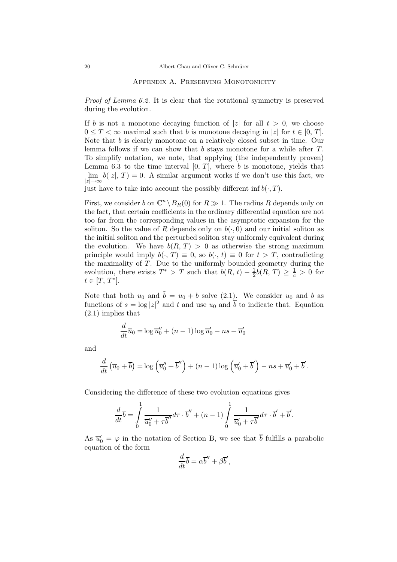#### Appendix A. Preserving Monotonicity

*Proof of Lemma 6.2.* It is clear that the rotational symmetry is preserved during the evolution.

If b is not a monotone decaying function of |z| for all  $t > 0$ , we choose  $0 \leq T < \infty$  maximal such that b is monotone decaying in |z| for  $t \in [0, T]$ . Note that b is clearly monotone on a relatively closed subset in time. Our lemma follows if we can show that  $b$  stays monotone for a while after  $T$ . To simplify notation, we note, that applying (the independently proven) Lemma 6.3 to the time interval  $[0, T]$ , where b is monotone, yields that  $\lim b(|z|, T) = 0$ . A similar argument works if we don't use this fact, we  $|z|\rightarrow\infty$ 

just have to take into account the possibly different inf  $b(\cdot, T)$ .

First, we consider b on  $\mathbb{C}^n \setminus B_R(0)$  for  $R \gg 1$ . The radius R depends only on the fact, that certain coefficients in the ordinary differential equation are not too far from the corresponding values in the asymptotic expansion for the soliton. So the value of R depends only on  $b(\cdot, 0)$  and our initial soliton as the initial soliton and the perturbed soliton stay uniformly equivalent during the evolution. We have  $b(R, T) > 0$  as otherwise the strong maximum principle would imply  $b(\cdot, T) \equiv 0$ , so  $b(\cdot, t) \equiv 0$  for  $t > T$ , contradicting the maximality of  $T$ . Due to the uniformly bounded geometry during the evolution, there exists  $T^* > T$  such that  $\tilde{b}(R, t) - \frac{1}{2}\tilde{b}(R, T) \geq \frac{1}{c} > 0$  for  $t \in [T, T^*].$ 

Note that both  $u_0$  and  $\tilde{b} = u_0 + b$  solve (2.1). We consider  $u_0$  and b as functions of  $s = \log |z|^2$  and t and use  $\overline{u}_0$  and  $\overline{b}$  to indicate that. Equation (2.1) implies that

$$
\frac{d}{dt}\overline{u}_0 = \log \overline{u}_0'' + (n-1)\log \overline{u}_0' - ns + \overline{u}_0'
$$

and

$$
\frac{d}{dt}(\overline{u}_0+\overline{b})=\log(\overline{u}_0''+\overline{b}'')+(n-1)\log(\overline{u}_0'+\overline{b}')-ns+\overline{u}_0'+\overline{b}'.
$$

Considering the difference of these two evolution equations gives

$$
\frac{d}{dt}\overline{b} = \int\limits_0^1 \frac{1}{\overline{u}_0'' + \tau \overline{b}''} d\tau \cdot \overline{b}'' + (n-1) \int\limits_0^1 \frac{1}{\overline{u}_0' + \tau \overline{b}'} d\tau \cdot \overline{b}' + \overline{b}'.
$$

As  $\overline{u}'_0 = \varphi$  in the notation of Section B, we see that  $\overline{b}$  fulfills a parabolic equation of the form

$$
\frac{d}{dt}\overline{b} = \alpha \overline{b}'' + \beta \overline{b}',
$$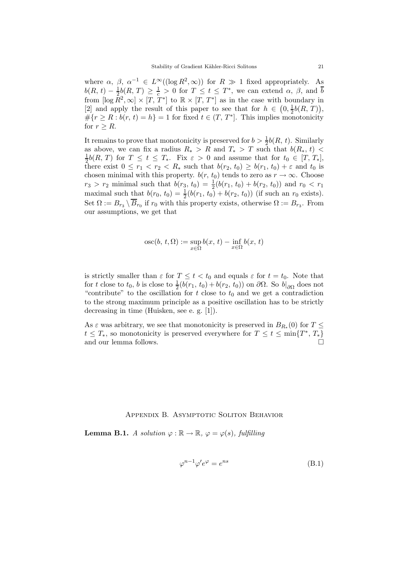where  $\alpha$ ,  $\beta$ ,  $\alpha^{-1} \in L^{\infty}((\log R^2, \infty))$  for  $R \gg 1$  fixed appropriately. As  $b(R, t) - \frac{1}{2}b(R, T) \geq \frac{1}{c} > 0$  for  $T \leq t \leq T^*$ , we can extend  $\alpha$ ,  $\beta$ , and  $\overline{b}$ from  $[\log \bar{R}^2,\infty] \times [T, T^*]$  to  $\mathbb{R} \times [T, T^*]$  as in the case with boundary in [2] and apply the result of this paper to see that for  $h \in (0, \frac{1}{2}b(R, T)),$  $\#\{r \geq R : b(r, t) = h\} = 1$  for fixed  $t \in (T, T^*]$ . This implies monotonicity for  $r \geq R$ .

It remains to prove that monotonicity is preserved for  $b > \frac{1}{2}b(R, t)$ . Similarly as above, we can fix a radius  $R_* > R$  and  $T_* > T$  such that  $b(R_*, t)$  $\frac{1}{2}b(R, T)$  for  $T \leq t \leq T_*$ . Fix  $\varepsilon > 0$  and assume that for  $t_0 \in [T, T_*]$ , there exist  $0 \leq r_1 < r_2 < R_*$  such that  $b(r_2, t_0) \geq b(r_1, t_0) + \varepsilon$  and  $t_0$  is chosen minimal with this property.  $b(r, t_0)$  tends to zero as  $r \to \infty$ . Choose  $r_3 > r_2$  minimal such that  $b(r_3, t_0) = \frac{1}{2}(b(r_1, t_0) + b(r_2, t_0))$  and  $r_0 < r_1$ maximal such that  $b(r_0, t_0) = \frac{1}{2}(b(r_1, t_0) + b(r_2, t_0))$  (if such an  $r_0$  exists). Set  $\Omega := B_{r_3} \setminus \overline{B}_{r_0}$  if  $r_0$  with this property exists, otherwise  $\Omega := B_{r_3}$ . From our assumptions, we get that

$$
{\rm osc}(b,\,t,\Omega):=\sup_{x\in\Omega}b(x,\,t)-\inf_{x\in\Omega}b(x,\,t)
$$

is strictly smaller than  $\varepsilon$  for  $T \leq t < t_0$  and equals  $\varepsilon$  for  $t = t_0$ . Note that for t close to  $t_0$ , b is close to  $\frac{1}{2}(\overline{b(r_1, t_0)} + b(r_2, t_0))$  on  $\partial\Omega$ . So  $b|_{\partial\Omega}$  does not "contribute" to the oscillation for t close to  $t_0$  and we get a contradiction to the strong maximum principle as a positive oscillation has to be strictly decreasing in time (Huisken, see e. g. [1]).

As  $\varepsilon$  was arbitrary, we see that monotonicity is preserved in  $B_{R_*}(0)$  for  $T \leq$  $t \leq T_*$ , so monotonicity is preserved everywhere for  $T \leq t \leq \min\{T^*, T_*\}$ and our lemma follows.

#### Appendix B. Asymptotic Soliton Behavior

**Lemma B.1.** *A solution*  $\varphi : \mathbb{R} \to \mathbb{R}$ ,  $\varphi = \varphi(s)$ , fulfilling

$$
\varphi^{n-1}\varphi' e^{\varphi} = e^{ns} \tag{B.1}
$$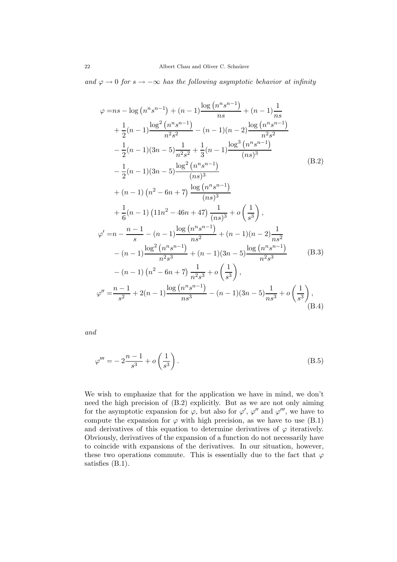and  $\varphi$  → 0 *for*  $s \to -\infty$  *has the following asymptotic behavior at infinity* 

$$
\varphi = ns - \log (n^{n} s^{n-1}) + (n - 1) \frac{\log (n^{n} s^{n-1})}{ns} + (n - 1) \frac{1}{ns}
$$
  
+  $\frac{1}{2}(n - 1) \frac{\log^{2} (n^{n} s^{n-1})}{n^{2} s^{2}} - (n - 1)(n - 2) \frac{\log (n^{n} s^{n-1})}{n^{2} s^{2}}$   
-  $\frac{1}{2}(n - 1)(3n - 5) \frac{1}{n^{2} s^{2}} + \frac{1}{3}(n - 1) \frac{\log^{3} (n^{n} s^{n-1})}{(ns)^{3}}$   
-  $\frac{1}{2}(n - 1)(3n - 5) \frac{\log^{2} (n^{n} s^{n-1})}{(ns)^{3}}$   
+  $(n - 1) (n^{2} - 6n + 7) \frac{\log (n^{n} s^{n-1})}{(ns)^{3}}$   
+  $\frac{1}{6}(n - 1) (11n^{2} - 46n + 47) \frac{1}{(ns)^{3}} + o\left(\frac{1}{s^{3}}\right),$   
 $\varphi' = n - \frac{n - 1}{s} - (n - 1) \frac{\log (n^{n} s^{n-1})}{ns^{2}} + (n - 1)(n - 2) \frac{1}{ns^{2}}$   
-  $(n - 1) \frac{\log^{2} (n^{n} s^{n-1})}{n^{2} s^{3}} + (n - 1)(3n - 5) \frac{\log (n^{n} s^{n-1})}{n^{2} s^{3}}$  (B.3)  
-  $(n - 1) (n^{2} - 6n + 7) \frac{1}{n^{2} s^{3}} + o\left(\frac{1}{s^{3}}\right),$   
 $\varphi'' = \frac{n - 1}{s^{2}} + 2(n - 1) \frac{\log (n^{n} s^{n-1})}{ns^{3}} - (n - 1)(3n - 5) \frac{1}{ns^{3}} + o\left(\frac{1}{s^{3}}\right),$   
(B.4)

*and*

$$
\varphi''' = -2\frac{n-1}{s^3} + o\left(\frac{1}{s^3}\right). \tag{B.5}
$$

We wish to emphasize that for the application we have in mind, we don't need the high precision of (B.2) explicitly. But as we are not only aiming for the asymptotic expansion for  $\varphi$ , but also for  $\varphi'$ ,  $\varphi''$  and  $\varphi'''$ , we have to compute the expansion for  $\varphi$  with high precision, as we have to use (B.1) and derivatives of this equation to determine derivatives of  $\varphi$  iteratively. Obviously, derivatives of the expansion of a function do not necessarily have to coincide with expansions of the derivatives. In our situation, however, these two operations commute. This is essentially due to the fact that  $\varphi$ satisfies (B.1).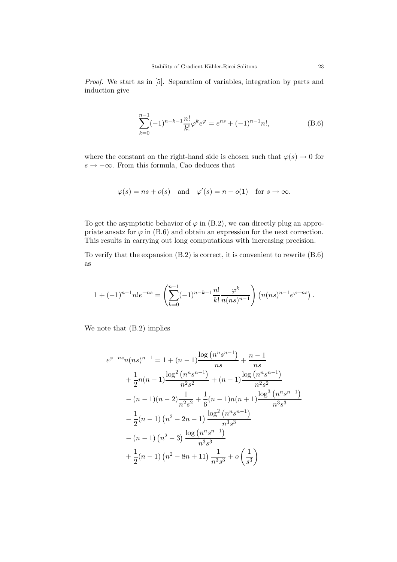*Proof.* We start as in [5]. Separation of variables, integration by parts and induction give

$$
\sum_{k=0}^{n-1}(-1)^{n-k-1}\frac{n!}{k!}\varphi^k e^{\varphi} = e^{ns} + (-1)^{n-1}n!,\tag{B.6}
$$

where the constant on the right-hand side is chosen such that  $\varphi(s) \to 0$  for  $s \to -\infty$ . From this formula, Cao deduces that

$$
\varphi(s) = ns + o(s)
$$
 and  $\varphi'(s) = n + o(1)$  for  $s \to \infty$ .

To get the asymptotic behavior of  $\varphi$  in (B.2), we can directly plug an appropriate ansatz for  $\varphi$  in (B.6) and obtain an expression for the next correction. This results in carrying out long computations with increasing precision.

To verify that the expansion (B.2) is correct, it is convenient to rewrite (B.6) as

$$
1+(-1)^{n-1}n!e^{-ns} = \left(\sum_{k=0}^{n-1}(-1)^{n-k-1}\frac{n!}{k!}\frac{\varphi^k}{n(ns)^{n-1}}\right)\left(n(ns)^{n-1}e^{\varphi-ns}\right).
$$

We note that (B.2) implies

$$
e^{\varphi - ns} n(ns)^{n-1} = 1 + (n-1) \frac{\log (n^n s^{n-1})}{ns} + \frac{n-1}{ns}
$$
  
+  $\frac{1}{2} n(n-1) \frac{\log^2 (n^n s^{n-1})}{n^2 s^2} + (n-1) \frac{\log (n^n s^{n-1})}{n^2 s^2}$   
-  $(n-1)(n-2) \frac{1}{n^2 s^2} + \frac{1}{6} (n-1) n(n+1) \frac{\log^3 (n^n s^{n-1})}{n^3 s^3}$   
-  $\frac{1}{2} (n-1) (n^2 - 2n - 1) \frac{\log^2 (n^n s^{n-1})}{n^3 s^3}$   
-  $(n-1) (n^2 - 3) \frac{\log (n^n s^{n-1})}{n^3 s^3}$   
+  $\frac{1}{2} (n-1) (n^2 - 8n + 11) \frac{1}{n^3 s^3} + o \left(\frac{1}{s^3}\right)$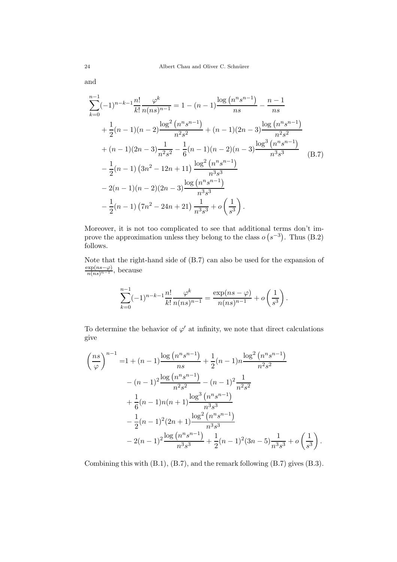and

$$
\sum_{k=0}^{n-1} (-1)^{n-k-1} \frac{n!}{k!} \frac{\varphi^k}{n(ns)^{n-1}} = 1 - (n-1) \frac{\log (n^n s^{n-1})}{ns} - \frac{n-1}{ns}
$$
  
+  $\frac{1}{2}(n-1)(n-2) \frac{\log^2 (n^n s^{n-1})}{n^2 s^2} + (n-1)(2n-3) \frac{\log (n^n s^{n-1})}{n^2 s^2}$   
+  $(n-1)(2n-3) \frac{1}{n^2 s^2} - \frac{1}{6}(n-1)(n-2)(n-3) \frac{\log^3 (n^n s^{n-1})}{n^3 s^3}$   
-  $\frac{1}{2}(n-1) (3n^2 - 12n + 11) \frac{\log^2 (n^n s^{n-1})}{n^3 s^3}$   
-  $2(n-1)(n-2)(2n-3) \frac{\log (n^n s^{n-1})}{n^3 s^3}$   
-  $\frac{1}{2}(n-1) (7n^2 - 24n + 21) \frac{1}{n^3 s^3} + o\left(\frac{1}{s^3}\right).$  (B.7)

Moreover, it is not too complicated to see that additional terms don't improve the approximation unless they belong to the class  $o(s^{-3})$ . Thus (B.2) follows.

Note that the right-hand side of (B.7) can also be used for the expansion of  $\frac{\exp(ns-\varphi)}{n(ns)^{n-1}}, \text{ because}$ 

$$
\sum_{k=0}^{n-1} (-1)^{n-k-1} \frac{n!}{k!} \frac{\varphi^k}{n(ns)^{n-1}} = \frac{\exp(ns-\varphi)}{n(ns)^{n-1}} + o\left(\frac{1}{s^3}\right).
$$

To determine the behavior of  $\varphi'$  at infinity, we note that direct calculations give

$$
\left(\frac{ns}{\varphi}\right)^{n-1} = 1 + (n-1)\frac{\log (n^n s^{n-1})}{ns} + \frac{1}{2}(n-1)n\frac{\log^2 (n^n s^{n-1})}{n^2 s^2}
$$

$$
- (n-1)^2 \frac{\log (n^n s^{n-1})}{n^2 s^2} - (n-1)^2 \frac{1}{n^2 s^2}
$$

$$
+ \frac{1}{6}(n-1)n(n+1)\frac{\log^3 (n^n s^{n-1})}{n^3 s^3}
$$

$$
- \frac{1}{2}(n-1)^2 (2n+1)\frac{\log^2 (n^n s^{n-1})}{n^3 s^3}
$$

$$
- 2(n-1)^2 \frac{\log (n^n s^{n-1})}{n^3 s^3} + \frac{1}{2}(n-1)^2 (3n-5)\frac{1}{n^3 s^3} + o\left(\frac{1}{s^3}\right)
$$

Combining this with (B.1), (B.7), and the remark following (B.7) gives (B.3).

.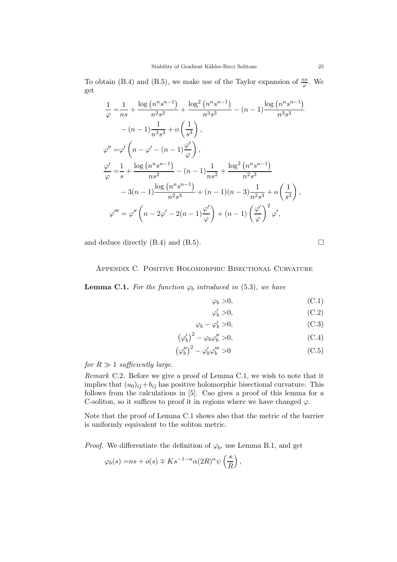To obtain (B.4) and (B.5), we make use of the Taylor expansion of  $\frac{ns}{\varphi}$ . We get

$$
\frac{1}{\varphi} = \frac{1}{ns} + \frac{\log (n^n s^{n-1})}{n^2 s^2} + \frac{\log^2 (n^n s^{n-1})}{n^3 s^3} - (n-1) \frac{\log (n^n s^{n-1})}{n^3 s^3} \n- (n-1) \frac{1}{n^3 s^3} + o\left(\frac{1}{s^3}\right), \n\varphi'' = \varphi' \left(n - \varphi' - (n-1) \frac{\varphi'}{\varphi}\right), \n\frac{\varphi'}{\varphi} = \frac{1}{s} + \frac{\log (n^n s^{n-1})}{ns^2} - (n-1) \frac{1}{ns^2} + \frac{\log^2 (n^n s^{n-1})}{n^2 s^3} \n- 3(n-1) \frac{\log (n^n s^{n-1})}{n^2 s^3} + (n-1)(n-3) \frac{1}{n^2 s^3} + o\left(\frac{1}{s^3}\right), \n\varphi''' = \varphi'' \left(n - 2\varphi' - 2(n-1) \frac{\varphi'}{\varphi}\right) + (n-1) \left(\frac{\varphi'}{\varphi}\right)^2 \varphi',
$$

and deduce directly  $(B.4)$  and  $(B.5)$ .

## Appendix C. Positive Holomorphic Bisectional Curvature

**Lemma C.1.** For the function  $\varphi_b$  introduced in (5.3), we have

$$
\varphi_b > 0,\tag{C.1}
$$

$$
\varphi'_b > 0,\tag{C.2}
$$

$$
\varphi_b - \varphi'_b > 0,\tag{C.3}
$$

$$
\left(\varphi_b'\right)^2 - \varphi_b \varphi_b'' > 0,\tag{C.4}
$$

$$
\left(\varphi_b''\right)^2 - \varphi_b' \varphi_b''' > 0\tag{C.5}
$$

*for*  $R \gg 1$  *sufficiently large.* 

*Remark* C.2*.* Before we give a proof of Lemma C.1, we wish to note that it implies that  $(u_0)_{i\bar{j}}+b_{i\bar{j}}$  has positive holomorphic bisectional curvature. This follows from the calculations in [5]. Cao gives a proof of this lemma for a C-soliton, so it suffices to proof it in regions where we have changed  $\varphi$ .

Note that the proof of Lemma C.1 shows also that the metric of the barrier is uniformly equivalent to the soliton metric.

*Proof.* We differentiate the definition of  $\varphi_b$ , use Lemma B.1, and get

$$
\varphi_b(s)=ns+o(s)\mp Ks^{-1-\alpha}\alpha(2R)^\alpha\psi\left(\frac{s}{R}\right),
$$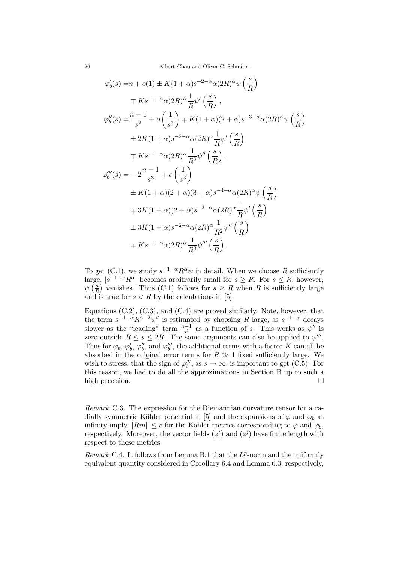$$
\varphi'_b(s) = n + o(1) \pm K(1+\alpha)s^{-2-\alpha}\alpha(2R)^{\alpha}\psi\left(\frac{s}{R}\right)
$$
  
\n
$$
\mp K s^{-1-\alpha}\alpha(2R)^{\alpha}\frac{1}{R}\psi'\left(\frac{s}{R}\right),
$$
  
\n
$$
\varphi''_b(s) = \frac{n-1}{s^2} + o\left(\frac{1}{s^2}\right) \mp K(1+\alpha)(2+\alpha)s^{-3-\alpha}\alpha(2R)^{\alpha}\psi\left(\frac{s}{R}\right)
$$
  
\n
$$
\pm 2K(1+\alpha)s^{-2-\alpha}\alpha(2R)^{\alpha}\frac{1}{R}\psi'\left(\frac{s}{R}\right)
$$
  
\n
$$
\mp K s^{-1-\alpha}\alpha(2R)^{\alpha}\frac{1}{R^2}\psi''\left(\frac{s}{R}\right),
$$
  
\n
$$
\varphi''_b(s) = -2\frac{n-1}{s^3} + o\left(\frac{1}{s^3}\right)
$$
  
\n
$$
\pm K(1+\alpha)(2+\alpha)(3+\alpha)s^{-4-\alpha}\alpha(2R)^{\alpha}\psi\left(\frac{s}{R}\right)
$$
  
\n
$$
\mp 3K(1+\alpha)(2+\alpha)s^{-3-\alpha}\alpha(2R)^{\alpha}\frac{1}{R}\psi'\left(\frac{s}{R}\right)
$$
  
\n
$$
\pm 3K(1+\alpha)s^{-2-\alpha}\alpha(2R)^{\alpha}\frac{1}{R^2}\psi''\left(\frac{s}{R}\right)
$$
  
\n
$$
\mp K s^{-1-\alpha}\alpha(2R)^{\alpha}\frac{1}{R^3}\psi'''\left(\frac{s}{R}\right).
$$

To get (C.1), we study  $s^{-1-\alpha}R^{\alpha}\psi$  in detail. When we choose R sufficiently large,  $|s^{-1-\alpha}R^{\alpha}|$  becomes arbitrarily small for  $s \geq R$ . For  $s \leq R$ , however,  $\psi\left(\frac{s}{R}\right)$  vanishes. Thus (C.1) follows for  $s \geq R$  when R is sufficiently large and is true for  $s < R$  by the calculations in [5].

Equations  $(C.2)$ ,  $(C.3)$ , and  $(C.4)$  are proved similarly. Note, however, that the term  $s^{-1-\alpha}R^{\alpha-2}\psi''$  is estimated by choosing R large, as  $s^{-1-\alpha}$  decays slower as the "leading" term  $\frac{n-1}{s^2}$  as a function of s. This works as  $\psi''$  is zero outside  $R \leq s \leq 2R$ . The same arguments can also be applied to  $\psi'''$ . Thus for  $\varphi_b$ ,  $\varphi'_b$ ,  $\varphi''_b$ , and  $\varphi'''_b$ , the additional terms with a factor K can all be absorbed in the original error terms for  $R \gg 1$  fixed sufficiently large. We wish to stress, that the sign of  $\varphi''_b$ , as  $s \to \infty$ , is important to get (C.5). For this reason, we had to do all the approximations in Section B up to such a high precision.

*Remark* C.3*.* The expression for the Riemannian curvature tensor for a radially symmetric Kähler potential in [5] and the expansions of  $\varphi$  and  $\varphi_b$  at infinity imply  $\|Rm\| \leq c$  for the Kähler metrics corresponding to  $\varphi$  and  $\varphi_b$ , respectively. Moreover, the vector fields  $(z^i)$  and  $(z^{\bar{j}})$  have finite length with respect to these metrics.

*Remark* C.4. It follows from Lemma B.1 that the  $L^p$ -norm and the uniformly equivalent quantity considered in Corollary 6.4 and Lemma 6.3, respectively,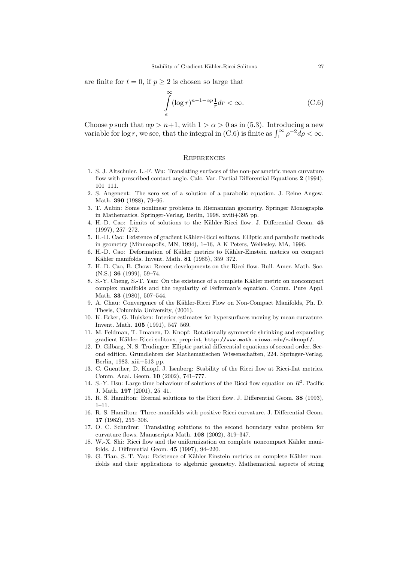are finite for  $t = 0$ , if  $p \geq 2$  is chosen so large that

$$
\int_{e}^{\infty} (\log r)^{n-1-\alpha p} \frac{1}{r} dr < \infty.
$$
 (C.6)

Choose p such that  $\alpha p > n+1$ , with  $1 > \alpha > 0$  as in (5.3). Introducing a new variable for log r, we see, that the integral in (C.6) is finite as  $\int_1^{\infty} \rho^{-2} d\rho < \infty$ .

#### **REFERENCES**

- 1. S. J. Altschuler, L.-F. Wu: Translating surfaces of the non-parametric mean curvature flow with prescribed contact angle. Calc. Var. Partial Differential Equations **2** (1994), 101–111.
- 2. S. Angenent: The zero set of a solution of a parabolic equation. J. Reine Angew. Math. **390** (1988), 79–96.
- 3. T. Aubin: Some nonlinear problems in Riemannian geometry. Springer Monographs in Mathematics. Springer-Verlag, Berlin, 1998. xviii+395 pp.
- 4. H.-D. Cao: Limits of solutions to the K¨ahler-Ricci flow. J. Differential Geom. **45** (1997), 257–272.
- 5. H.-D. Cao: Existence of gradient Kähler-Ricci solitons. Elliptic and parabolic methods in geometry (Minneapolis, MN, 1994), 1–16, A K Peters, Wellesley, MA, 1996.
- 6. H.-D. Cao: Deformation of Kähler metrics to Kähler-Einstein metrics on compact Kähler manifolds. Invent. Math. **81** (1985), 359-372.
- 7. H.-D. Cao, B. Chow: Recent developments on the Ricci flow. Bull. Amer. Math. Soc. (N.S.) **36** (1999), 59–74.
- 8. S.-Y. Cheng, S.-T. Yau: On the existence of a complete Kähler metric on noncompact complex manifolds and the regularity of Fefferman's equation. Comm. Pure Appl. Math. **33** (1980), 507–544.
- 9. A. Chau: Convergence of the Kähler-Ricci Flow on Non-Compact Manifolds, Ph. D. Thesis, Columbia University, (2001).
- 10. K. Ecker, G. Huisken: Interior estimates for hypersurfaces moving by mean curvature. Invent. Math. **105** (1991), 547–569.
- 11. M. Feldman, T. Ilmanen, D. Knopf: Rotationally symmetric shrinking and expanding gradient K¨ahler-Ricci solitons, preprint, http://www.math.uiowa.edu/∼dknopf/.
- 12. D. Gilbarg, N. S. Trudinger: Elliptic partial differential equations of second order. Second edition. Grundlehren der Mathematischen Wissenschaften, 224. Springer-Verlag, Berlin, 1983. xiii+513 pp.
- 13. C. Guenther, D. Knopf, J. Isenberg: Stability of the Ricci flow at Ricci-flat metrics. Comm. Anal. Geom. **10** (2002), 741–777.
- 14. S.-Y. Hsu: Large time behaviour of solutions of the Ricci flow equation on  $R^2$ . Pacific J. Math. **197** (2001), 25–41.
- 15. R. S. Hamilton: Eternal solutions to the Ricci flow. J. Differential Geom. **38** (1993),  $1-11.$
- 16. R. S. Hamilton: Three-manifolds with positive Ricci curvature. J. Differential Geom. **17** (1982), 255–306.
- 17. O. C. Schnürer: Translating solutions to the second boundary value problem for curvature flows. Manuscripta Math. **108** (2002), 319–347.
- 18. W.-X. Shi: Ricci flow and the uniformization on complete noncompact Kähler manifolds. J. Differential Geom. **45** (1997), 94–220.
- 19. G. Tian, S.-T. Yau: Existence of Kähler-Einstein metrics on complete Kähler manifolds and their applications to algebraic geometry. Mathematical aspects of string